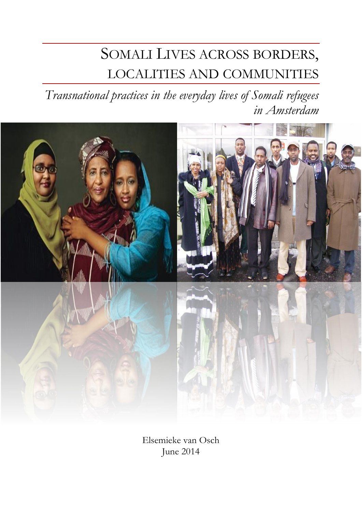# SOMALI LIVES ACROSS BORDERS, LOCALITIES AND COMMUNITIES

*Transnational practices in the everyday lives of Somali refugees in Amsterdam*



Elsemieke van Osch June 2014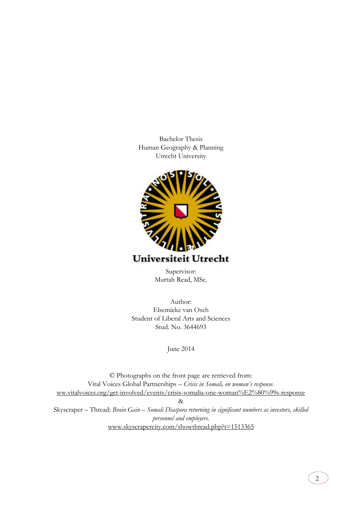Bachelor Thesis Human Geography & Planning Utrecht University



Supervisor: Murtah Read, MSc.

Author: Elsemieke van Osch Student of Liberal Arts and Sciences Stud. No. 3644693

June 2014

© Photographs on the front page are retrieved from: Vital Voices Global Partnerships – *Crisis in Somali, on woman's response.* [ww.vitalvoices.org/get-involved/events/crisis-somalia-one-woman%E2%80%99s-response](http://sww.vitalvoices.org/get-involved/events/crisis-somalia-one-woman%E2%80%99s-response) & Skyscraper – Thread: *Brain Gain – Somali Diaspora returning in significant numbers as investors, skilled personnel and employers.* [www.skyscrapercity.com/showthread.php?t=1513365](http://www.skyscrapercity.com/showthread.php?t=1513365)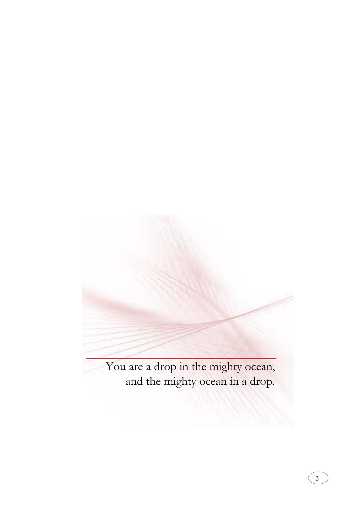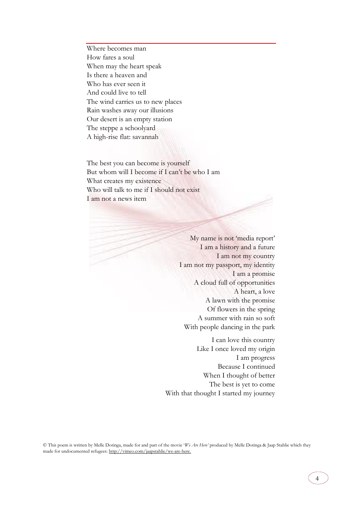Where becomes man How fares a soul When may the heart speak Is there a heaven and Who has ever seen it And could live to tell The wind carries us to new places Rain washes away our illusions Our desert is an empty station The steppe a schoolyard A high-rise flat: savannah

The best you can become is yourself But whom will I become if I can't be who I am What creates my existence Who will talk to me if I should not exist I am not a news item

> My name is not 'media report' I am a history and a future I am not my country I am not my passport, my identity I am a promise A cloud full of opportunities A heart, a love A lawn with the promise Of flowers in the spring A summer with rain so soft With people dancing in the park

I can love this country Like I once loved my origin I am progress Because I continued When I thought of better The best is yet to come With that thought I started my journey

© This poem is written by Melle Dotinga, made for and part of the movie '*We Are Here'* produced by Melle Dotinga & Jaap Stahlie which they made for undocumented refugees: http://vimeo.com/jaapstahlie/we-are-here.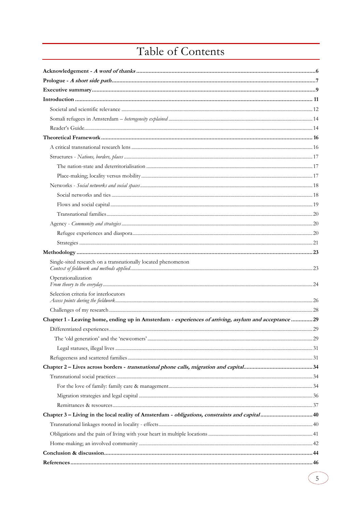## Table of Contents

| Single-sited research on a transnationally located phenomenon                                         |  |
|-------------------------------------------------------------------------------------------------------|--|
| Operationalization                                                                                    |  |
| Selection criteria for interlocutors                                                                  |  |
|                                                                                                       |  |
| Chapter 1 - Leaving home, ending up in Amsterdam - experiences of arriving, asylum and acceptance  29 |  |
|                                                                                                       |  |
|                                                                                                       |  |
|                                                                                                       |  |
|                                                                                                       |  |
|                                                                                                       |  |
|                                                                                                       |  |
|                                                                                                       |  |
|                                                                                                       |  |
|                                                                                                       |  |
| Chapter 3 – Living in the local reality of Amsterdam - <i>obligations, constraints and capital</i> 40 |  |
|                                                                                                       |  |
|                                                                                                       |  |
|                                                                                                       |  |
|                                                                                                       |  |
|                                                                                                       |  |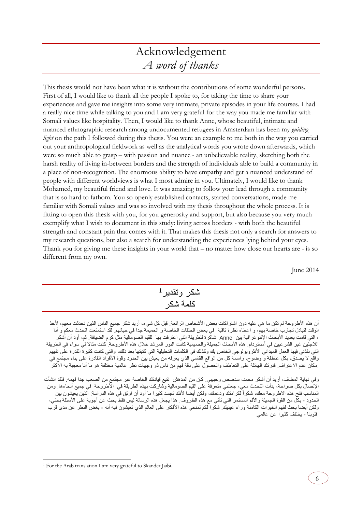## Acknowledgement *A word of thanks*

<span id="page-5-0"></span>This thesis would not have been what it is without the contributions of some wonderful persons. First of all, I would like to thank all the people I spoke to, for taking the time to share your experiences and gave me insights into some very intimate, private episodes in your life courses. I had a really nice time while talking to you and I am very grateful for the way you made me familiar with Somali values like hospitality. Then, I would like to thank Anne, whose beautiful, intimate and nuanced ethnographic research among undocumented refugees in Amsterdam has been my *guiding light* on the path I followed during this thesis. You were an example to me both in the way you carried out your anthropological fieldwork as well as the analytical words you wrote down afterwards, which were so much able to grasp – with passion and nuance - an unbelievable reality, sketching both the harsh reality of living in-between borders and the strength of individuals able to build a community in a place of non-recognition. The enormous ability to have empathy and get a nuanced understand of people with different worldviews is what I most admire in you. Ultimately, I would like to thank Mohamed, my beautiful friend and love. It was amazing to follow your lead through a community that is so hard to fathom. You so openly established contacts, started conversations, made me familiar with Somali values and was so involved with my thesis throughout the whole process. It is fitting to open this thesis with you, for you generosity and support, but also because you very much exemplify what I wish to document in this study: living across borders - with both the beautiful strength and constant pain that comes with it. That makes this thesis not only a search for answers to my research questions, but also a search for understanding the experiences lying behind your eyes. Thank you for giving me these insights in your world that – no matter how close our hearts are - is so different from my own.

June 2014

6

| شكر وتقدير <sup>1</sup> |  |
|-------------------------|--|
| كلمة شكر                |  |

أن هذه الأطر وحة لم تكن ما هي عليه دون اشتر اكات بعض الأشخاص الر ائعة. قبل كل شيء، أريد شكر جميع الناس الذين تحدثت معهم، لأخذ الوقت لتبادل تجارب خاصة بهم، و اعطاء نظرة ثاقبة في بعض الحلقات الخاصة و الحميمة جدا في حياتهم. لقد استمتعت اتحدث معكم و أنا ، التي قامت بعديد األبحاث اإلثنوغرافية بين Anne شاكرة للطريقة التي اعترفت بها للقيم الصومالية مثل كرم الضيافة. ثم، أود أن أشكر اللاجئين غير الشرعيين في أمستردام. هذه الأبحاث الجميلة والحميمية كانت النور المرشد خلال هذه الأطروحة. كنت مثالا لي سواء في الطريقة التي نفذتي فيها العمل الميداني األنثروبولوجي الخاص بك وكذلك في الكلمات التحليلية التي كتبتها بعد ذلك، والتي كانت كثيرة القدرة على تفهيم واقع لا يصدق، بكل عاطفة و وضوح، راسمة كل من الواقع القاسي الذي يعرفه من يعيش بين الحدود وقوة الأفراد القادرة على بناء مجتمع في .مكان عدم الاعتراف. قدرتك الهائلة على التعاطف والحصول على دقة فهم من ناس ذو وجهات نظر عالمية مختلفة هو ما أنا معجبة به الأكثر

وفي نهاية المطاف، أريد أن أشكر محمد، سدصص وحبيبي. كان من المدهش تتبع قيادتك الخاصة عبر مجتمع من الصعب جدا فهمه. فلقد انشأت اإلتصال بكل صراحة، بدأت التحدث معي، جعلتني متعرفة على القيم الصومالية وشاركت بهذه الطريقة في األطروحة في جميع أنحاءها. ومن المناسب فتح هذه الاطروحة معك، شكراً لكرامتك ودعمك، ولكن أيضًا لأنك تجسد كثيرا ما أود أن اوثق في هذه الدراسة: الذين يعيشون بين الحدود - بكل من القوة الجميلة والألم المستمر التي تأتي مع هذه الظروف. هذا يجعل هذه الرسالة ليس فقط بحث عن أجوبة على الأسئلة بحثي، ولكن أيضا بحث لفهم الخبرات الكامنة وراء عينيك. شكرا لكم لمنحي هذه الأفكار على العالم الذي تعيشون فيه أنه - بغض النظر عن مدى قرب .قلوبنا - يختلف كثيرا عن عالمي

-

<sup>1</sup> For the Arab translation I am very grateful to Skander Jaibi.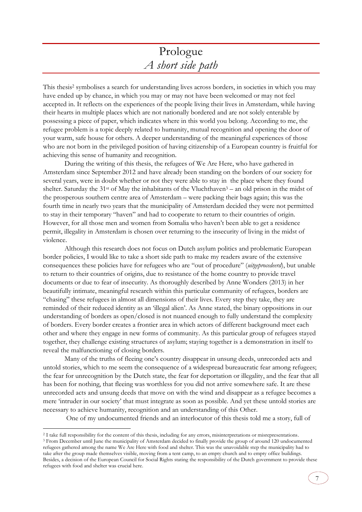## Prologue *A short side path*

<span id="page-6-0"></span>This thesis<sup>2</sup> symbolises a search for understanding lives across borders, in societies in which you may have ended up by chance, in which you may or may not have been welcomed or may not feel accepted in. It reflects on the experiences of the people living their lives in Amsterdam, while having their hearts in multiple places which are not nationally bordered and are not solely enterable by possessing a piece of paper, which indicates where in this world you belong. According to me, the refugee problem is a topic deeply related to humanity, mutual recognition and opening the door of your warm, safe house for others. A deeper understanding of the meaningful experiences of those who are not born in the privileged position of having citizenship of a European country is fruitful for achieving this sense of humanity and recognition.

During the writing of this thesis, the refugees of We Are Here, who have gathered in Amsterdam since September 2012 and have already been standing on the borders of our society for several years, were in doubt whether or not they were able to stay in the place where they found shelter. Saturday the  $31<sup>st</sup>$  of May the inhabitants of the Vluchthaven<sup>3</sup> – an old prison in the midst of the prosperous southern centre area of Amsterdam – were packing their bags again; this was the fourth time in nearly two years that the municipality of Amsterdam decided they were not permitted to stay in their temporary "haven" and had to cooperate to return to their countries of origin. However, for all those men and women from Somalia who haven't been able to get a residence permit, illegality in Amsterdam is chosen over returning to the insecurity of living in the midst of violence.

Although this research does not focus on Dutch asylum politics and problematic European border policies, I would like to take a short side path to make my readers aware of the extensive consequences these policies have for refugees who are "out of procedure" (*uitgeprocedeerd*), but unable to return to their countries of origins, due to resistance of the home country to provide travel documents or due to fear of insecurity. As thoroughly described by Anne Wonders (2013) in her beautifully intimate, meaningful research within this particular community of refugees, borders are "chasing" these refugees in almost all dimensions of their lives. Every step they take, they are reminded of their reduced identity as an 'illegal alien'. As Anne stated, the binary oppositions in our understanding of borders as open/closed is not nuanced enough to fully understand the complexity of borders. Every border creates a frontier area in which actors of different background meet each other and where they engage in new forms of community. As this particular group of refugees stayed together, they challenge existing structures of asylum; staying together is a demonstration in itself to reveal the malfunctioning of closing borders.

Many of the truths of fleeing one's country disappear in unsung deeds, unrecorded acts and untold stories, which to me seem the consequence of a widespread bureaucratic fear among refugees; the fear for unrecognition by the Dutch state, the fear for deportation or illegality, and the fear that all has been for nothing, that fleeing was worthless for you did not arrive somewhere safe. It are these unrecorded acts and unsung deeds that move on with the wind and disappear as a refugee becomes a mere 'intruder in our society' that must integrate as soon as possible. And yet these untold stories are necessary to achieve humanity, recognition and an understanding of this Other.

One of my undocumented friends and an interlocutor of this thesis told me a story, full of

-

<sup>2</sup> I take full responsibility for the content of this thesis, including for any errors, misinterpretations or misrepresentations.

<sup>3</sup> From December until June the municipality of Amsterdam decided to finally provide the group of around 120 undocumented refugees gathered among the name We Are Here with food and shelter. This was the unavoidable step the municipality had to take after the group made themselves visible, moving from a tent camp, to an empty church and to empty office buildings. Besides, a decision of the European Council for Social Rights stating the responsibility of the Dutch government to provide these refugees with food and shelter was crucial here.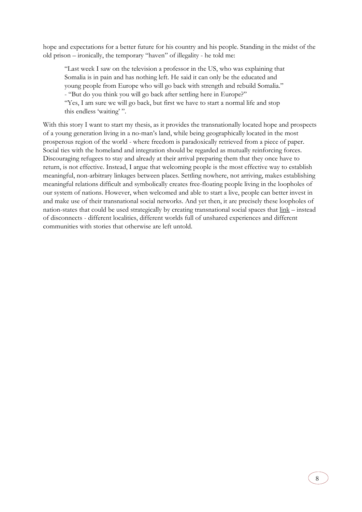hope and expectations for a better future for his country and his people. Standing in the midst of the old prison – ironically, the temporary "haven" of illegality - he told me:

"Last week I saw on the television a professor in the US, who was explaining that Somalia is in pain and has nothing left. He said it can only be the educated and young people from Europe who will go back with strength and rebuild Somalia." - "But do you think you will go back after settling here in Europe?" "Yes, I am sure we will go back, but first we have to start a normal life and stop this endless 'waiting' ".

With this story I want to start my thesis, as it provides the transnationally located hope and prospects of a young generation living in a no-man's land, while being geographically located in the most prosperous region of the world - where freedom is paradoxically retrieved from a piece of paper. Social ties with the homeland and integration should be regarded as mutually reinforcing forces. Discouraging refugees to stay and already at their arrival preparing them that they once have to return, is not effective. Instead, I argue that welcoming people is the most effective way to establish meaningful, non-arbitrary linkages between places. Settling nowhere, not arriving, makes establishing meaningful relations difficult and symbolically creates free-floating people living in the loopholes of our system of nations. However, when welcomed and able to start a live, people can better invest in and make use of their transnational social networks. And yet then, it are precisely these loopholes of nation-states that could be used strategically by creating transnational social spaces that link – instead of disconnects - different localities, different worlds full of unshared experiences and different communities with stories that otherwise are left untold.

8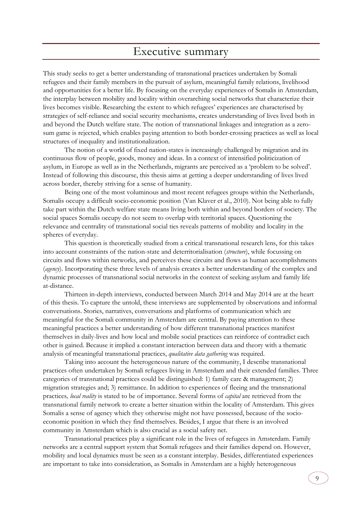## Executive summary

<span id="page-8-0"></span>This study seeks to get a better understanding of transnational practices undertaken by Somali refugees and their family members in the pursuit of asylum, meaningful family relations, livelihood and opportunities for a better life. By focusing on the everyday experiences of Somalis in Amsterdam, the interplay between mobility and locality within overarching social networks that characterize their lives becomes visible. Researching the extent to which refugees' experiences are characterised by strategies of self-reliance and social security mechanisms, creates understanding of lives lived both in and beyond the Dutch welfare state. The notion of transnational linkages and integration as a zerosum game is rejected, which enables paying attention to both border-crossing practices as well as local structures of inequality and institutionalization.

The notion of a world of fixed nation-states is increasingly challenged by migration and its continuous flow of people, goods, money and ideas. In a context of intensified politicization of asylum, in Europe as well as in the Netherlands, migrants are perceived as a 'problem to be solved'. Instead of following this discourse, this thesis aims at getting a deeper understanding of lives lived across border, thereby striving for a sense of humanity.

Being one of the most voluminous and most recent refugees groups within the Netherlands, Somalis occupy a difficult socio-economic position (Van Klaver et al., 2010). Not being able to fully take part within the Dutch welfare state means living both within and beyond borders of society. The social spaces Somalis occupy do not seem to overlap with territorial spaces. Questioning the relevance and centrality of transnational social ties reveals patterns of mobility and locality in the spheres of everyday.

This question is theoretically studied from a critical transnational research lens, for this takes into account constraints of the nation-state and deterritorialisation (*structure*), while focussing on circuits and flows within networks, and perceives these circuits and flows as human accomplishments (*agency*). Incorporating these three levels of analysis creates a better understanding of the complex and dynamic processes of transnational social networks in the context of seeking asylum and family life at-distance.

Thirteen in-depth interviews, conducted between March 2014 and May 2014 are at the heart of this thesis. To capture the untold, these interviews are supplemented by observations and informal conversations. Stories, narratives, conversations and platforms of communication which are meaningful for the Somali community in Amsterdam are central. By paying attention to these meaningful practices a better understanding of how different transnational practices manifest themselves in daily-lives and how local and mobile social practices can reinforce of contradict each other is gained. Because it implied a constant interaction between data and theory with a thematic analysis of meaningful transnational practices, *qualitative data gathering* was required.

Taking into account the heterogeneous nature of the community, I describe transnational practices often undertaken by Somali refugees living in Amsterdam and their extended families. Three categories of transnational practices could be distinguished: 1) family care & management; 2) migration strategies and; 3) remittance. In addition to experiences of fleeing and the transnational practices*, local reality* is stated to be of importance. Several forms of *capital* are retrieved from the transnational family network to create a better situation within the locality of Amsterdam. This gives Somalis a sense of agency which they otherwise might not have possessed, because of the socioeconomic position in which they find themselves. Besides, I argue that there is an involved community in Amsterdam which is also crucial as a social safety net.

Transnational practices play a significant role in the lives of refugees in Amsterdam. Family networks are a central support system that Somali refugees and their families depend on. However, mobility and local dynamics must be seen as a constant interplay. Besides, differentiated experiences are important to take into consideration, as Somalis in Amsterdam are a highly heterogeneous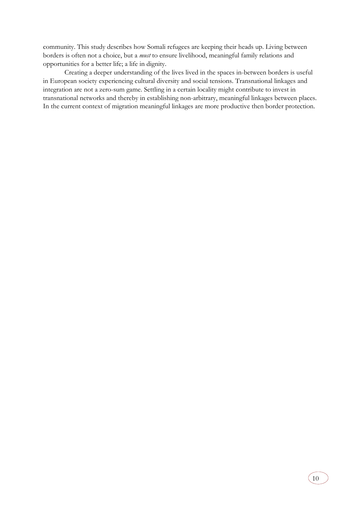community. This study describes how Somali refugees are keeping their heads up. Living between borders is often not a choice, but a *must* to ensure livelihood, meaningful family relations and opportunities for a better life; a life in dignity.

Creating a deeper understanding of the lives lived in the spaces in-between borders is useful in European society experiencing cultural diversity and social tensions. Transnational linkages and integration are not a zero-sum game. Settling in a certain locality might contribute to invest in transnational networks and thereby in establishing non-arbitrary, meaningful linkages between places. In the current context of migration meaningful linkages are more productive then border protection.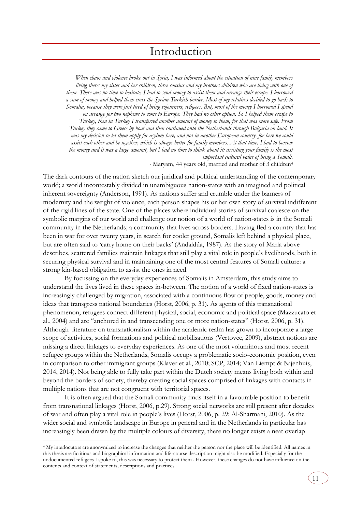<span id="page-10-0"></span>*When chaos and violence broke out in Syria, I was informed about the situation of nine family members living there: my sister and her children, three cousins and my brothers children who are living with one of them. There was no time to hesitate, I had to send money to assist them and arrange their escape. I borrowed a sum of money and helped them cross the Syrian-Turkish border. Most of my relatives decided to go back to Somalia, because they were just tired of being sojourners, refugees. But, most of the money I borrowed I spend on arrange for two nephews to come to Europe. They had no other option. So I helped them escape to Turkey, then in Turkey I transferred another amount of money to them, for that was more safe. From Turkey they came to Greece by boat and then continued onto the Netherlands through Bulgaria on land. It was my decision to let them apply for asylum here, and not in another European country, for here we could assist each other and be together, which is always better for family members. At that time, I had to borrow the money and it was a large amount, but I had no time to think about it: assisting your family is the most important cultural value of being a Somali. -* Maryam, 44 years old, married and mother of 3 children<sup>4</sup>

The dark contours of the nation sketch our juridical and political understanding of the contemporary world; a world incontestably divided in unambiguous nation-states with an imagined and political inherent sovereignty (Anderson, 1991). As nations suffer and crumble under the banners of modernity and the weight of violence, each person shapes his or her own story of survival indifferent of the rigid lines of the state. One of the places where individual stories of survival coalesce on the symbolic margins of our world and challenge our notion of a world of nation-states is in the Somali community in the Netherlands; a community that lives across borders. Having fled a country that has been in war for over twenty years, in search for cooler ground, Somalis left behind a physical place, but are often said to 'carry home on their backs' (Andaldúa, 1987). As the story of Maria above describes, scattered families maintain linkages that still play a vital role in people's livelihoods, both in securing physical survival and in maintaining one of the most central features of Somali culture: a strong kin-based obligation to assist the ones in need.

By focussing on the everyday experiences of Somalis in Amsterdam, this study aims to understand the lives lived in these spaces in-between. The notion of a world of fixed nation-states is increasingly challenged by migration, associated with a continuous flow of people, goods, money and ideas that transgress national boundaries (Horst, 2006, p. 31). As agents of this transnational phenomenon, refugees connect different physical, social, economic and political space (Mazzucato et al., 2004) and are "anchored in and transcending one or more nation-states" (Horst, 2006, p. 31). Although literature on transnationalism within the academic realm has grown to incorporate a large scope of activities, social formations and political mobilisations (Vertovec, 2009), abstract notions are missing a direct linkages to everyday experiences. As one of the most voluminous and most recent refugee groups within the Netherlands, Somalis occupy a problematic socio-economic position, even in comparison to other immigrant groups (Klaver et al., 2010; SCP, 2014; Van Liempt & Nijenhuis, 2014, 2014). Not being able to fully take part within the Dutch society means living both within and beyond the borders of society, thereby creating social spaces comprised of linkages with contacts in multiple nations that are not congruent with territorial spaces.

It is often argued that the Somali community finds itself in a favourable position to benefit from transnational linkages (Horst, 2006, p.29). Strong social networks are still present after decades of war and often play a vital role in people's lives (Horst, 2006, p. 29; Al-Sharmani, 2010). As the wider social and symbolic landscape in Europe in general and in the Netherlands in particular has increasingly been drawn by the multiple colours of diversity, there no longer exists a neat overlap

-

<sup>4</sup> My interlocutors are anonymized to increase the changes that neither the person nor the place will be identified. All names in this thesis are fictitious and biographical information and life-course description might also be modified. Especially for the undocumented refugees I spoke to, this was necessary to protect them . However, these changes do not have influence on the contents and context of statements, descriptions and practices.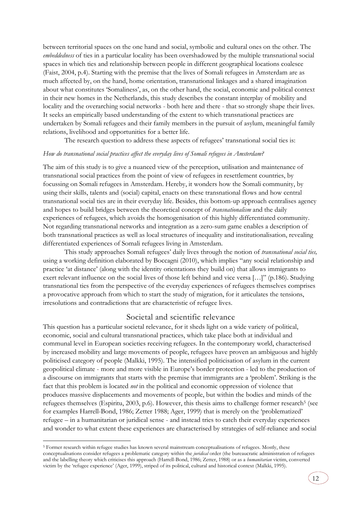between territorial spaces on the one hand and social, symbolic and cultural ones on the other. The *embeddedness* of ties in a particular locality has been overshadowed by the multiple transnational social spaces in which ties and relationship between people in different geographical locations coalesce (Faist, 2004, p.4). Starting with the premise that the lives of Somali refugees in Amsterdam are as much affected by, on the hand, home orientation, transnational linkages and a shared imagination about what constitutes 'Somaliness', as, on the other hand, the social, economic and political context in their new homes in the Netherlands, this study describes the constant interplay of mobility and locality and the overarching social networks - both here and there - that so strongly shape their lives. It seeks an empirically based understanding of the extent to which transnational practices are undertaken by Somali refugees and their family members in the pursuit of asylum, meaningful family relations, livelihood and opportunities for a better life.

The research question to address these aspects of refugees' transnational social ties is:

## *How do transnational social practices affect the everyday lives of Somali refugees in Amsterdam?*

The aim of this study is to give a nuanced view of the perception, utilisation and maintenance of transnational social practices from the point of view of refugees in resettlement countries, by focussing on Somali refugees in Amsterdam. Hereby, it wonders how the Somali community, by using their skills, talents and (social) capital, enacts on these transnational flows and how central transnational social ties are in their everyday life. Besides, this bottom-up approach centralises agency and hopes to build bridges between the theoretical concept of *transnationalism* and the daily experiences of refugees, which avoids the homogenisation of this highly differentiated community. Not regarding transnational networks and integration as a zero-sum game enables a description of both transnational practices as well as local structures of inequality and institutionalisation, revealing differentiated experiences of Somali refugees living in Amsterdam.

This study approaches Somali refugees' daily lives through the notion of *transnational social ties,*  using a working definition elaborated by Boccagni (2010), which implies "any social relationship and practice 'at distance' (along with the identity orientations they build on) that allows immigrants to exert relevant influence on the social lives of those left behind and vice versa […]" (p.186). Studying transnational ties from the perspective of the everyday experiences of refugees themselves comprises a provocative approach from which to start the study of migration, for it articulates the tensions, irresolutions and contradictions that are characteristic of refugee lives.

## Societal and scientific relevance

<span id="page-11-0"></span>This question has a particular societal relevance, for it sheds light on a wide variety of political, economic, social and cultural transnational practices, which take place both at individual and communal level in European societies receiving refugees. In the contemporary world, characterised by increased mobility and large movements of people, refugees have proven an ambiguous and highly politicised category of people (Malkki, 1995). The intensified politicisation of asylum in the current geopolitical climate - more and more visible in Europe's border protection - led to the production of a discourse on immigrants that starts with the premise that immigrants are a 'problem'. Striking is the fact that this problem is located *not* in the political and economic oppression of violence that produces massive displacements and movements of people, but within the bodies and minds of the refugees themselves (Espiritu, 2003, p.6). However, this thesis aims to challenge former research<sup>5</sup> (see for examples Harrell-Bond, 1986; Zetter 1988; Ager, 1999) that is merely on the 'problematized' refugee – in a humanitarian or juridical sense - and instead tries to catch their everyday experiences and wonder to what extent these experiences are characterised by strategies of self-reliance and social

-

<sup>5</sup> Former research within refugee studies has known several mainstream conceptualisations of refugees. Mostly, these conceptualisations consider refugees a problematic category within the *juridical* order (the bureaucratic administration of refugees and the labelling theory which criticises this approach (Harrell-Bond, 1986; Zetter, 1988) or as a *humanitarian* victim, converted victim by the 'refugee experience' (Ager, 1999), striped of its political, cultural and historical context (Malkki, 1995).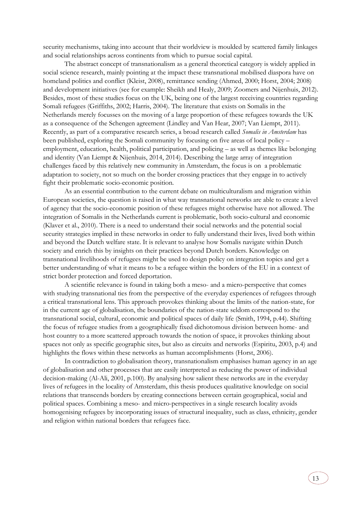security mechanisms, taking into account that their worldview is moulded by scattered family linkages and social relationships across continents from which to pursue social capital.

The abstract concept of transnationalism as a general theoretical category is widely applied in social science research, mainly pointing at the impact these transnational mobilised diaspora have on homeland politics and conflict (Kleist, 2008), remittance sending (Ahmed, 2000; Horst, 2004; 2008) and development initiatives (see for example: Sheikh and Healy, 2009; Zoomers and Nijenhuis, 2012). Besides, most of these studies focus on the UK, being one of the largest receiving countries regarding Somali refugees (Griffiths, 2002; Harris, 2004). The literature that exists on Somalis in the Netherlands merely focusses on the moving of a large proportion of these refugees towards the UK as a consequence of the Schengen agreement (Lindley and Van Hear, 2007; Van Liempt, 2011). Recently, as part of a comparative research series, a broad research called *Somalis in Amsterdam* has been published, exploring the Somali community by focusing on five areas of local policy – employment, education, health, political participation, and policing – as well as themes like belonging and identity (Van Liempt & Nijenhuis, 2014, 2014). Describing the large array of integration challenges faced by this relatively new community in Amsterdam, the focus is on a problematic adaptation to society, not so much on the border crossing practices that they engage in to actively fight their problematic socio-economic position.

As an essential contribution to the current debate on multiculturalism and migration within European societies, the question is raised in what way transnational networks are able to create a level of agency that the socio-economic position of these refugees might otherwise have not allowed. The integration of Somalis in the Netherlands current is problematic, both socio-cultural and economic (Klaver et al., 2010). There is a need to understand their social networks and the potential social security strategies implied in these networks in order to fully understand their lives, lived both within and beyond the Dutch welfare state. It is relevant to analyse how Somalis navigate within Dutch society and enrich this by insights on their practices beyond Dutch borders. Knowledge on transnational livelihoods of refugees might be used to design policy on integration topics and get a better understanding of what it means to be a refugee within the borders of the EU in a context of strict border protection and forced deportation.

A scientific relevance is found in taking both a meso- and a micro-perspective that comes with studying transnational ties from the perspective of the everyday experiences of refugees through a critical transnational lens. This approach provokes thinking about the limits of the nation-state, for in the current age of globalisation, the boundaries of the nation-state seldom correspond to the transnational social, cultural, economic and political spaces of daily life (Smith, 1994, p.44). Shifting the focus of refugee studies from a geographically fixed dichotomous division between home- and host country to a more scattered approach towards the notion of space, it provokes thinking about spaces not only as specific geographic sites, but also as circuits and networks (Espiritu, 2003, p.4) and highlights the flows within these networks as human accomplishments (Horst, 2006).

In contradiction to globalisation theory, transnationalism emphasises human agency in an age of globalisation and other processes that are easily interpreted as reducing the power of individual decision-making (Al-Ali, 2001, p.100). By analysing how salient these networks are in the everyday lives of refugees in the locality of Amsterdam, this thesis produces qualitative knowledge on social relations that transcends borders by creating connections between certain geographical, social and political spaces. Combining a meso- and micro-perspectives in a single research locality avoids homogenising refugees by incorporating issues of structural inequality, such as class, ethnicity, gender and religion within national borders that refugees face.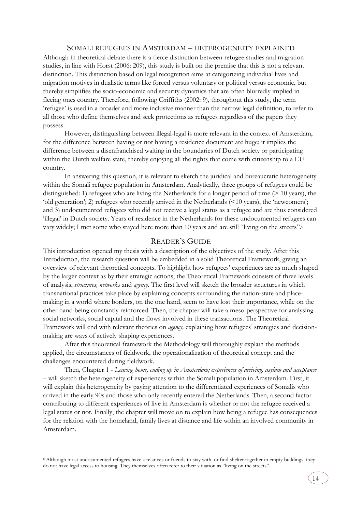### SOMALI REFUGEES IN AMSTERDAM – HETEROGENEITY EXPLAINED

<span id="page-13-0"></span>Although in theoretical debate there is a fierce distinction between refugee studies and migration studies, in line with Horst (2006: 209), this study is built on the premise that this is not a relevant distinction. This distinction based on legal recognition aims at categorizing individual lives and migration motives in dualistic terms like forced versus voluntary or political versus economic, but thereby simplifies the socio-economic and security dynamics that are often blurredly implied in fleeing ones country. Therefore, following Griffiths (2002: 9), throughout this study, the term 'refugee' is used in a broader and more inclusive manner than the narrow legal definition, to refer to all those who define themselves and seek protections as refugees regardless of the papers they possess.

However, distinguishing between illegal-legal is more relevant in the context of Amsterdam, for the difference between having or not having a residence document are huge; it implies the difference between a disenfranchised waiting in the boundaries of Dutch society or participating within the Dutch welfare state, thereby enjoying all the rights that come with citizenship to a EU country.

In answering this question, it is relevant to sketch the juridical and bureaucratic heterogeneity within the Somali refugee population in Amsterdam. Analytically, three groups of refugees could be distinguished: 1) refugees who are living the Netherlands for a longer period of time  $(> 10 \text{ years})$ , the 'old generation'; 2) refugees who recently arrived in the Netherlands (<10 years), the 'newcomers'; and 3) undocumented refugees who did not receive a legal status as a refugee and are thus considered 'illegal' in Dutch society. Years of residence in the Netherlands for these undocumented refugees can vary widely; I met some who stayed here more than 10 years and are still "living on the streets".<sup>6</sup>

## READER'S GUIDE

<span id="page-13-1"></span>This introduction opened my thesis with a description of the objectives of the study. After this Introduction, the research question will be embedded in a solid Theoretical Framework, giving an overview of relevant theoretical concepts. To highlight how refugees' experiences are as much shaped by the larger context as by their strategic actions, the Theoretical Framework consists of three levels of analysis, *structures, networks* and *agency.* The first level will sketch the broader structures in which transnational practices take place by explaining concepts surrounding the nation-state and placemaking in a world where borders, on the one hand, seem to have lost their importance, while on the other hand being constantly reinforced. Then, the chapter will take a meso-perspective for analysing social networks, social capital and the flows involved in these transactions. The Theoretical Framework will end with relevant theories on *agency,* explaining how refugees' strategies and decisionmaking are ways of actively shaping experiences.

After this theoretical framework the Methodology will thoroughly explain the methods applied, the circumstances of fieldwork, the operationalization of theoretical concept and the challenges encountered during fieldwork.

Then, Chapter 1 - *Leaving home, ending up in Amsterdam; experiences of arriving, asylum and acceptance*  – will sketch the heterogeneity of experiences within the Somali population in Amsterdam. First, it will explain this heterogeneity by paying attention to the differentiated experiences of Somalis who arrived in the early 90s and those who only recently entered the Netherlands. Then, a second factor contributing to different experiences of live in Amsterdam is whether or not the refugee received a legal status or not. Finally, the chapter will move on to explain how being a refugee has consequences for the relation with the homeland, family lives at distance and life within an involved community in Amsterdam.

-

<sup>6</sup> Although most undocumented refugees have a relatives or friends to stay with, or find shelter together in empty buildings, they do not have legal access to housing. They themselves often refer to their situation as "living on the streets".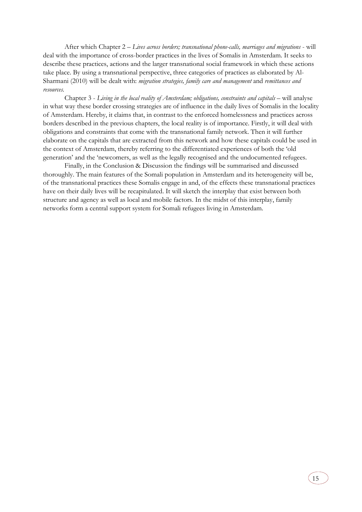After which Chapter 2 – *Lives across borders; transnational phone-calls, marriages and migrations* - will deal with the importance of cross-border practices in the lives of Somalis in Amsterdam. It seeks to describe these practices, actions and the larger transnational social framework in which these actions take place. By using a transnational perspective, three categories of practices as elaborated by Al-Sharmani (2010) will be dealt with: *migration strategies, family care and management* and *remittances and resources.*

Chapter 3 - *Living in the local reality of Amsterdam; obligations, constraints and capitals* – will analyse in what way these border crossing strategies are of influence in the daily lives of Somalis in the locality of Amsterdam. Hereby, it claims that, in contrast to the enforced homelessness and practices across borders described in the previous chapters, the local reality is of importance. Firstly, it will deal with obligations and constraints that come with the transnational family network. Then it will further elaborate on the capitals that are extracted from this network and how these capitals could be used in the context of Amsterdam, thereby referring to the differentiated experiences of both the 'old generation' and the 'newcomers, as well as the legally recognised and the undocumented refugees.

Finally, in the Conclusion & Discussion the findings will be summarised and discussed thoroughly. The main features of the Somali population in Amsterdam and its heterogeneity will be, of the transnational practices these Somalis engage in and, of the effects these transnational practices have on their daily lives will be recapitulated. It will sketch the interplay that exist between both structure and agency as well as local and mobile factors. In the midst of this interplay, family networks form a central support system for Somali refugees living in Amsterdam.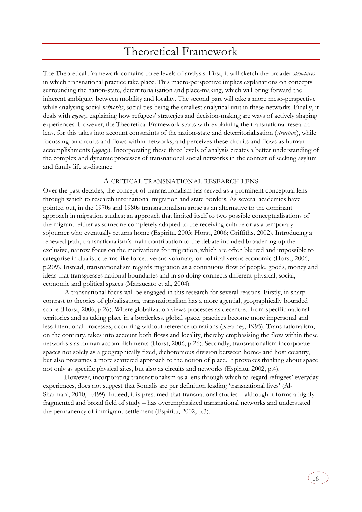## Theoretical Framework

<span id="page-15-0"></span>The Theoretical Framework contains three levels of analysis. First, it will sketch the broader *structures* in which transnational practice take place. This macro-perspective implies explanations on concepts surrounding the nation-state, deterritorialisation and place-making, which will bring forward the inherent ambiguity between mobility and locality. The second part will take a more meso-perspective while analysing social *networks*, social ties being the smallest analytical unit in these networks. Finally, it deals with *agency*, explaining how refugees' strategies and decision-making are ways of actively shaping experiences. However, the Theoretical Framework starts with explaining the transnational research lens, for this takes into account constraints of the nation-state and deterritorialisation (*structure*), while focussing on circuits and flows within networks, and perceives these circuits and flows as human accomplishments (*agency*). Incorporating these three levels of analysis creates a better understanding of the complex and dynamic processes of transnational social networks in the context of seeking asylum and family life at-distance.

## A CRITICAL TRANSNATIONAL RESEARCH LENS

<span id="page-15-1"></span>Over the past decades, the concept of transnationalism has served as a prominent conceptual lens through which to research international migration and state borders. As several academics have pointed out, in the 1970s and 1980s transnationalism arose as an alternative to the dominant approach in migration studies; an approach that limited itself to two possible conceptualisations of the migrant: either as someone completely adapted to the receiving culture or as a temporary sojourner who eventually returns home (Espiritu, 2003; Horst, 2006; Griffiths, 2002). Introducing a renewed path, transnationalism's main contribution to the debate included broadening up the exclusive, narrow focus on the motivations for migration, which are often blurred and impossible to categorise in dualistic terms like forced versus voluntary or political versus economic (Horst, 2006, p.209). Instead, transnationalism regards migration as a continuous flow of people, goods, money and ideas that transgresses national boundaries and in so doing connects different physical, social, economic and political spaces (Mazzucato et al., 2004).

A transnational focus will be engaged in this research for several reasons. Firstly, in sharp contrast to theories of globalisation, transnationalism has a more agential, geographically bounded scope (Horst, 2006, p.26). Where globalization views processes as decentred from specific national territories and as taking place in a borderless, global space, practices become more impersonal and less intentional processes, occurring without reference to nations (Kearney, 1995). Transnationalism, on the contrary, takes into account both flows and locality, thereby emphasising the flow within these networks s as human accomplishments (Horst, 2006, p.26). Secondly, transnationalism incorporate spaces not solely as a geographically fixed, dichotomous division between home- and host country, but also presumes a more scattered approach to the notion of place. It provokes thinking about space not only as specific physical sites, but also as circuits and networks (Espiritu, 2002, p.4).

However, incorporating transnationalism as a lens through which to regard refugees' everyday experiences, does not suggest that Somalis are per definition leading 'transnational lives' (Al-Sharmani, 2010, p.499). Indeed, it is presumed that transnational studies – although it forms a highly fragmented and broad field of study – has overemphasized transnational networks and understated the permanency of immigrant settlement (Espiritu, 2002, p.3).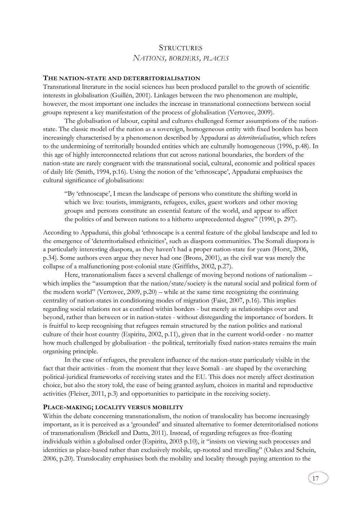## **STRUCTURES** *NATIONS, BORDERS, PLACES*

## <span id="page-16-1"></span><span id="page-16-0"></span>**THE NATION-STATE AND DETERRITORIALISATION**

Transnational literature in the social sciences has been produced parallel to the growth of scientific interests in globalisation (Guillén, 2001). Linkages between the two phenomenon are multiple, however, the most important one includes the increase in transnational connections between social groups represent a key manifestation of the process of globalisation (Vertovec, 2009).

The globalisation of labour, capital and cultures challenged former assumptions of the nationstate. The classic model of the nation as a sovereign, homogeneous entity with fixed borders has been increasingly characterised by a phenomenon described by Appadurai as *deterritorialisation*, which refers to the undermining of territorially bounded entities which are culturally homogeneous (1996, p.48). In this age of highly interconnected relations that cut across national boundaries, the borders of the nation-state are rarely congruent with the transnational social, cultural, economic and political spaces of daily life (Smith, 1994, p.16). Using the notion of the 'ethnoscape', Appadurai emphasises the cultural significance of globalisations:

"By 'ethnoscape', I mean the landscape of persons who constitute the shifting world in which we live: tourists, immigrants, refugees, exiles, guest workers and other moving groups and persons constitute an essential feature of the world, and appear to affect the politics of and between nations to a hitherto unprecedented degree" (1990, p. 297).

According to Appadurai, this global 'ethnoscape is a central feature of the global landscape and led to the emergence of 'deterritorialised ethnicities', such as diaspora communities. The Somali diaspora is a particularly interesting diaspora, as they haven't had a proper nation-state for years (Horst, 2006, p.34). Some authors even argue they never had one (Brons, 2001), as the civil war was merely the collapse of a malfunctioning post-colonial state (Griffiths, 2002, p.27).

Here, transnationalism faces a several challenge of moving beyond notions of nationalism – which implies the "assumption that the nation/state/society is the natural social and political form of the modern world" (Vertovec, 2009, p.20) – while at the same time recognizing the continuing centrality of nation-states in conditioning modes of migration (Faist, 2007, p.16). This implies regarding social relations not as confined within borders - but merely as relationships over and beyond, rather than between or in nation-states - without disregarding the importance of borders. It is fruitful to keep recognising that refugees remain structured by the nation politics and national culture of their host country (Espiritu, 2002, p.11), given that in the current world-order - no matter how much challenged by globalisation - the political, territorially fixed nation-states remains the main organising principle.

In the case of refugees, the prevalent influence of the nation-state particularly visible in the fact that their activities - from the moment that they leave Somali - are shaped by the overarching political-juridical frameworks of receiving states and the EU. This does not merely affect destination choice, but also the story told, the ease of being granted asylum, choices in marital and reproductive activities (Fleiser, 2011, p.3) and opportunities to participate in the receiving society.

## <span id="page-16-2"></span>**PLACE-MAKING; LOCALITY VERSUS MOBILITY**

Within the debate concerning transnationalism, the notion of translocality has become increasingly important, as it is perceived as a 'grounded' and situated alternative to former deterritorialised notions of transnationalism (Brickell and Datta, 2011). Instead, of regarding refugees as free-floating individuals within a globalised order (Espiritu, 2003 p.10), it "insists on viewing such processes and identities as place-based rather than exclusively mobile, up-rooted and travelling" (Oakes and Schein, 2006, p.20). Translocality emphasises both the mobility and locality through paying attention to the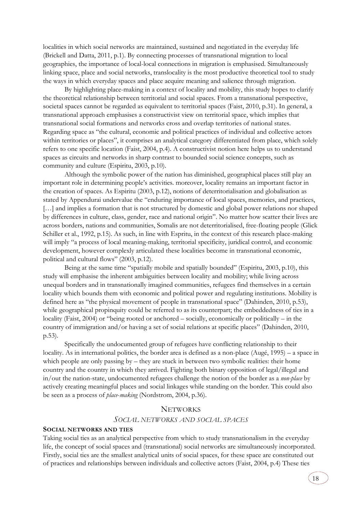localities in which social networks are maintained, sustained and negotiated in the everyday life (Brickell and Datta, 2011, p.1). By connecting processes of transnational migration to local geographies, the importance of local-local connections in migration is emphasised. Simultaneously linking space, place and social networks, translocality is the most productive theoretical tool to study the ways in which everyday spaces and place acquire meaning and salience through migration.

By highlighting place-making in a context of locality and mobility, this study hopes to clarify the theoretical relationship between territorial and social spaces. From a transnational perspective, societal spaces cannot be regarded as equivalent to territorial spaces (Faist, 2010, p.31). In general, a transnational approach emphasises a constructivist view on territorial space, which implies that transnational social formations and networks cross and overlap territories of national states. Regarding space as "the cultural, economic and political practices of individual and collective actors within territories or places", it comprises an analytical category differentiated from place, which solely refers to one specific location (Faist, 2004, p.4). A constructivist notion here helps us to understand spaces as circuits and networks in sharp contrast to bounded social science concepts, such as community and culture (Espiritu, 2003, p.10).

Although the symbolic power of the nation has diminished, geographical places still play an important role in determining people's activities. moreover, locality remains an important factor in the creation of spaces. As Espiritu (2003, p.12), notions of deterritorialisation and globalisation as stated by Appendurai undervalue the "enduring importance of local spaces, memories, and practices, [...] and implies a formation that is not structured by domestic and global power relations nor shaped by differences in culture, class, gender, race and national origin". No matter how scatter their lives are across borders, nations and communities, Somalis are not deterritorialised, free-floating people (Glick Schiller et al., 1992, p.15). As such, in line with Espritu, in the context of this research place-making will imply "a process of local meaning-making, territorial specificity, juridical control, and economic development, however complexly articulated these localities become in transnational economic, political and cultural flows" (2003, p.12).

Being at the same time "spatially mobile and spatially bounded" (Espiritu, 2003, p.10), this study will emphasise the inherent ambiguities between locality and mobility; while living across unequal borders and in transnationally imagined communities, refugees find themselves in a certain locality which bounds them with economic and political power and regulating institutions. Mobility is defined here as "the physical movement of people in transnational space" (Dahinden, 2010, p.53), while geographical propinquity could be referred to as its counterpart; the embeddedness of ties in a locality (Faist, 2004) or "being rooted or anchored – socially, economically or politically – in the country of immigration and/or having a set of social relations at specific places" (Dahinden, 2010, p.53).

Specifically the undocumented group of refugees have conflicting relationship to their locality. As in international politics, the border area is defined as a non-place (Augé, 1995) – a space in which people are only passing by  $-$  they are stuck in between two symbolic realities: their home country and the country in which they arrived. Fighting both binary opposition of legal/illegal and in/out the nation-state, undocumented refugees challenge the notion of the border as a *non-place* by actively creating meaningful places and social linkages while standing on the border. This could also be seen as a process of *place*-*making* (Nordstrom, 2004, p.36).

## **NETWORKS**

## *SOCIAL NETWORKS AND SOCIAL SPACES*

## <span id="page-17-1"></span><span id="page-17-0"></span>**SOCIAL NETWORKS AND TIES**

Taking social ties as an analytical perspective from which to study transnationalism in the everyday life, the concept of social spaces and (transnational) social networks are simultaneously incorporated. Firstly, social ties are the smallest analytical units of social spaces, for these space are constituted out of practices and relationships between individuals and collective actors (Faist, 2004, p.4) These ties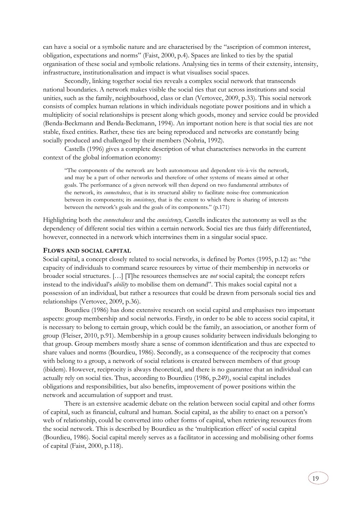can have a social or a symbolic nature and are characterised by the "ascription of common interest, obligation, expectations and norms" (Faist, 2000, p.4). Spaces are linked to ties by the spatial organisation of these social and symbolic relations. Analysing ties in terms of their extensity, intensity, infrastructure, institutionalisation and impact is what visualises social spaces.

Secondly, linking together social ties reveals a complex social network that transcends national boundaries. A network makes visible the social ties that cut across institutions and social unities, such as the family, neighbourhood, class or clan (Vertovec, 2009, p.33). This social network consists of complex human relations in which individuals negotiate power positions and in which a multiplicity of social relationships is present along which goods, money and service could be provided (Benda-Beckmann and Benda-Beckmann, 1994). An important notion here is that social ties are not stable, fixed entities. Rather, these ties are being reproduced and networks are constantly being socially produced and challenged by their members (Nohria, 1992).

Castells (1996) gives a complete description of what characterises networks in the current context of the global information economy:

"The components of the network are both autonomous and dependent vis-à-vis the network, and may be a part of other networks and therefore of other systems of means aimed at other goals. The performance of a given network will then depend on two fundamental attributes of the network, its *connectedness*, that is its structural ability to facilitate noise-free communication between its components; its *consistency*, that is the extent to which there is sharing of interests between the network's goals and the goals of its components." (p.171)

Highlighting both the *connectedness* and the *consistency,* Castells indicates the autonomy as well as the dependency of different social ties within a certain network. Social ties are thus fairly differentiated, however, connected in a network which intertwines them in a singular social space.

## <span id="page-18-0"></span>**FLOWS AND SOCIAL CAPITAL**

Social capital, a concept closely related to social networks, is defined by Portes (1995, p.12) as: "the capacity of individuals to command scarce resources by virtue of their membership in networks or broader social structures. […] [T]he resources themselves are *not* social capital; the concept refers instead to the individual's *ability* to mobilise them on demand". This makes social capital not a possession of an individual, but rather a resources that could be drawn from personals social ties and relationships (Vertovec, 2009, p.36).

Bourdieu (1986) has done extensive research on social capital and emphasises two important aspects: group membership and social networks. Firstly, in order to be able to access social capital, it is necessary to belong to certain group, which could be the family, an association, or another form of group (Fleiser, 2010, p.91). Membership in a group causes solidarity between individuals belonging to that group. Group members mostly share a sense of common identification and thus are expected to share values and norms (Bourdieu, 1986). Secondly, as a consequence of the reciprocity that comes with belong to a group, a network of social relations is created between members of that group (ibidem). However, reciprocity is always theoretical, and there is no guarantee that an individual can actually rely on social ties. Thus, according to Bourdieu (1986, p.249), social capital includes obligations and responsibilities, but also benefits, improvement of power positions within the network and accumulation of support and trust.

There is an extensive academic debate on the relation between social capital and other forms of capital, such as financial, cultural and human. Social capital, as the ability to enact on a person's web of relationship, could be converted into other forms of capital, when retrieving resources from the social network. This is described by Bourdieu as the 'multiplication effect' of social capital (Bourdieu, 1986). Social capital merely serves as a facilitator in accessing and mobilising other forms of capital (Faist, 2000, p.118).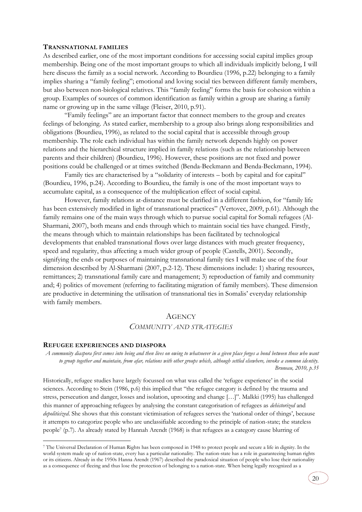### <span id="page-19-0"></span>**TRANSNATIONAL FAMILIES**

As described earlier, one of the most important conditions for accessing social capital implies group membership. Being one of the most important groups to which all individuals implicitly belong, I will here discuss the family as a social network. According to Bourdieu (1996, p.22) belonging to a family implies sharing a "family feeling"; emotional and loving social ties between different family members, but also between non-biological relatives. This "family feeling" forms the basis for cohesion within a group. Examples of sources of common identification as family within a group are sharing a family name or growing up in the same village (Fleiser, 2010, p.91).

"Family feelings" are an important factor that connect members to the group and creates feelings of belonging. As stated earlier, membership to a group also brings along responsibilities and obligations (Bourdieu, 1996), as related to the social capital that is accessible through group membership. The role each individual has within the family network depends highly on power relations and the hierarchical structure implied in family relations (such as the relationship between parents and their children) (Bourdieu, 1996). However, these positions are not fixed and power positions could be challenged or at times switched (Benda-Beckmann and Benda-Beckmann, 1994).

Family ties are characterised by a "solidarity of interests – both by capital and for capital" (Bourdieu, 1996, p.24). According to Bourdieu, the family is one of the most important ways to accumulate capital, as a consequence of the multiplication effect of social capital.

However, family relations at-distance must be clarified in a different fashion, for "family life has been extensively modified in light of transnational practices" (Vertovec, 2009, p.61). Although the family remains one of the main ways through which to pursue social capital for Somali refugees (Al-Sharmani, 2007), both means and ends through which to maintain social ties have changed. Firstly, the means through which to maintain relationships has been facilitated by technological developments that enabled transnational flows over large distances with much greater frequency, speed and regularity, thus affecting a much wider group of people (Castells, 2001). Secondly, signifying the ends or purposes of maintaining transnational family ties I will make use of the four dimension described by Al-Sharmani (2007, p.2-12). These dimensions include: 1) sharing resources, remittances; 2) transnational family care and management; 3) reproduction of family and community and; 4) politics of movement (referring to facilitating migration of family members). These dimension are productive in determining the utilisation of transnational ties in Somalis' everyday relationship with family members.

## **AGENCY**

## *COMMUNITY AND STRATEGIES*

### <span id="page-19-2"></span><span id="page-19-1"></span>**REFUGEE EXPERIENCES AND DIASPORA**

-

*A community diaspora first comes into being and then lives on owing to whatsoever in a given place forges a bond between those who want to group together and maintain, from afar, relations with other groups which, although settled elsewhere, invoke a common identity. Bruneau, 2010, p.35*

Historically, refugee studies have largely focussed on what was called the 'refugee experience' in the social sciences. According to Stein (1986, p.6) this implied that "the refugee category is defined by the trauma and stress, persecution and danger, losses and isolation, uprooting and change […]". Malkki (1995) has challenged this manner of approaching refugees by analysing the constant categorisation of refugees as *dehistorized* and *depoliticized*. She shows that this constant victimisation of refugees serves the 'national order of things', because it attempts to categorize people who are unclassifiable according to the principle of nation-state; the stateless people<sup>7</sup> (p.7). As already stated by Hannah Arendt (1968) is that refugees as a category cause blurring of

<sup>7</sup> The Universal Declaration of Human Rights has been composed in 1948 to protect people and secure a life in dignity. In the world system made up of nation-state, every has a particular nationality. The nation-state has a role in guaranteeing human rights or its citizens. Already in the 1950s Hanna Arendt (1967) described the paradoxical situation of people who lose their nationality as a consequence of fleeing and thus lose the protection of belonging to a nation-state. When being legally recognized as a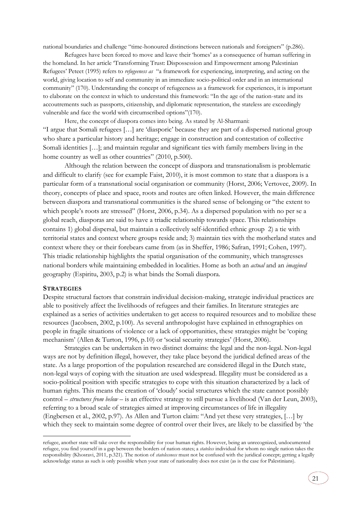national boundaries and challenge "time-honoured distinctions between nationals and foreigners" (p.286).

Refugees have been forced to move and leave their 'homes' as a consequence of human suffering in the homeland. In her article 'Transforming Trust: Dispossession and Empowerment among Palestinian Refugees' Peteet (1995) refers to *refugeeness as* "a framework for experiencing, interpreting, and acting on the world, giving location to self and community in an immediate socio-political order and in an international community" (170). Understanding the concept of refugeeness as a framework for experiences, it is important to elaborate on the context in which to understand this framework: "In the age of the nation-state and its accoutrements such as passports, citizenship, and diplomatic representation, the stateless are exceedingly vulnerable and face the world with circumscribed options"(170).

Here, the concept of diaspora comes into being. As stated by Al-Sharmani: "I argue that Somali refugees […] are 'diasporic' because they are part of a dispersed national group who share a particular history and heritage; engage in construction and contestation of collective Somali identities […]; and maintain regular and significant ties with family members living in the home country as well as other countries" (2010, p.500).

Although the relation between the concept of diaspora and transnationalism is problematic and difficult to clarify (see for example Faist, 2010), it is most common to state that a diaspora is a particular form of a transnational social organisation or community (Horst, 2006; Vertovec, 2009). In theory, concepts of place and space, roots and routes are often linked. However, the main difference between diaspora and transnational communities is the shared sense of belonging or "the extent to which people's roots are stressed" (Horst, 2006, p.34). As a dispersed population with no per se a global reach, diasporas are said to have a triadic relationship towards space. This relationships contains 1) global dispersal, but maintain a collectively self-identified ethnic group 2) a tie with territorial states and context where groups reside and; 3) maintain ties with the motherland states and context where they or their forebears came from (as in Sheffer, 1986; Safran, 1991; Cohen, 1997). This triadic relationship highlights the spatial organisation of the community, which transgresses national borders while maintaining embedded in localities. Home as both an *actual* and an *imagined* geography (Espiritu, 2003, p.2) is what binds the Somali diaspora.

## <span id="page-20-0"></span>**STRATEGIES**

-

Despite structural factors that constrain individual decision-making, strategic individual practices are able to positively affect the livelihoods of refugees and their families. In literature strategies are explained as a series of activities undertaken to get access to required resources and to mobilize these resources (Jacobsen, 2002, p.100). As several anthropologist have explained in ethnographies on people in fragile situations of violence or a lack of opportunities, these strategies might be 'coping mechanism' (Allen & Turton, 1996, p.10) or 'social security strategies' (Horst, 2006).

Strategies can be undertaken in two distinct domains: the legal and the non-legal. Non-legal ways are not by definition illegal, however, they take place beyond the juridical defined areas of the state. As a large proportion of the population researched are considered illegal in the Dutch state, non-legal ways of coping with the situation are used widespread. Illegality must be considered as a socio-political position with specific strategies to cope with this situation characterized by a lack of human rights. This means the creation of 'cloudy' social structures which the state cannot possibly control – *structures from below* – is an effective strategy to still pursue a livelihood (Van der Leun, 2003), referring to a broad scale of strategies aimed at improving circumstances of life in illegality (Engbersen et al., 2002, p.97). As Allen and Turton claim: "And yet these very strategies, […] by which they seek to maintain some degree of control over their lives, are likely to be classified by 'the

refugee, another state will take over the responsibility for your human rights. However, being an unrecognized, undocumented refugee, you find yourself in a gap between the borders of nation-states; a *stateless* individual for whom no single nation takes the responsibility (Khosravi, 2011, p.321). The notion of *statelessness* must not be confused with the juridical concept; getting a legally acknowledge status as such is only possible when your state of nationality does not exist (as is the case for Palestinians).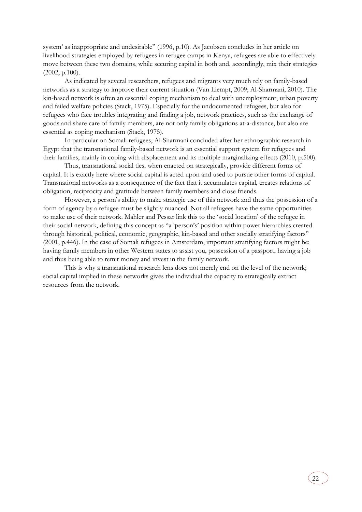system' as inappropriate and undesirable" (1996, p.10). As Jacobsen concludes in her article on livelihood strategies employed by refugees in refugee camps in Kenya, refugees are able to effectively move between these two domains, while securing capital in both and, accordingly, mix their strategies (2002, p.100).

As indicated by several researchers, refugees and migrants very much rely on family-based networks as a strategy to improve their current situation (Van Liempt, 2009; Al-Sharmani, 2010). The kin-based network is often an essential coping mechanism to deal with unemployment, urban poverty and failed welfare policies (Stack, 1975). Especially for the undocumented refugees, but also for refugees who face troubles integrating and finding a job, network practices, such as the exchange of goods and share care of family members, are not only family obligations at-a-distance, but also are essential as coping mechanism (Stack, 1975).

In particular on Somali refugees, Al-Sharmani concluded after her ethnographic research in Egypt that the transnational family-based network is an essential support system for refugees and their families, mainly in coping with displacement and its multiple marginalizing effects (2010, p.500).

Thus, transnational social ties, when enacted on strategically, provide different forms of capital. It is exactly here where social capital is acted upon and used to pursue other forms of capital. Transnational networks as a consequence of the fact that it accumulates capital, creates relations of obligation, reciprocity and gratitude between family members and close friends.

However, a person's ability to make strategic use of this network and thus the possession of a form of agency by a refugee must be slightly nuanced. Not all refugees have the same opportunities to make use of their network. Mahler and Pessar link this to the 'social location' of the refugee in their social network, defining this concept as "a 'person's' position within power hierarchies created through historical, political, economic, geographic, kin-based and other socially stratifying factors" (2001, p.446). In the case of Somali refugees in Amsterdam, important stratifying factors might be: having family members in other Western states to assist you, possession of a passport, having a job and thus being able to remit money and invest in the family network.

This is why a transnational research lens does not merely end on the level of the network; social capital implied in these networks gives the individual the capacity to strategically extract resources from the network.

22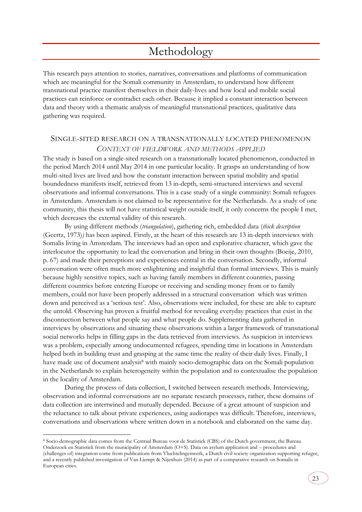## Methodology

<span id="page-22-0"></span>This research pays attention to stories, narratives, conversations and platforms of communication which are meaningful for the Somali community in Amsterdam, to understand how different transnational practice manifest themselves in their daily-lives and how local and mobile social practices can reinforce or contradict each other. Because it implied a constant interaction between data and theory with a thematic analysis of meaningful transnational practices, qualitative data gathering was required.

## <span id="page-22-1"></span>SINGLE-SITED RESEARCH ON A TRANSNATIONALLY LOCATED PHENOMENON *CONTEXT OF FIELDWORK AND METHODS APPLIED*

The study is based on a single-sited research on a transnationally located phenomenon, conducted in the period March 2014 until May 2014 in one particular locality. It grasps an understanding of how multi-sited lives are lived and how the constant interaction between spatial mobility and spatial boundedness manifests itself, retrieved from 13 in-depth, semi-structured interviews and several observations and informal conversations. This is a case study of a single community: Somali refugees in Amsterdam. Amsterdam is not claimed to be representative for the Netherlands. As a study of one community, this thesis will not have statistical weight outside itself, it only concerns the people I met, which decreases the external validity of this research.

By using different methods (*triangulation*), gathering rich, embedded data (*thick description* (Geertz, 1973)*)* has been aspired. Firstly, at the heart of this research are 13 in-depth interviews with Somalis living in Amsterdam. The interviews had an open and explorative character, which gave the interlocutor the opportunity to lead the conversation and bring in their own thoughts (Boeije, 2010, p. 67) and made their perceptions and experiences central in the conversation. Secondly, informal conversation were often much more enlightening and insightful than formal interviews. This is mainly because highly sensitive topics, such as having family members in different countries, passing different countries before entering Europe or receiving and sending money from or to family members, could not have been properly addressed in a structural conversation which was written down and perceived as a 'serious test'. Also, observations were included, for these are able to capture the untold. Observing has proven a fruitful method for revealing everyday practices that exist in the disconnection between what people say and what people do. Supplementing data gathered in interviews by observations and situating these observations within a larger framework of transnational social networks helps in filling gaps in the data retrieved from interviews. As suspicion in interviews was a problem, especially among undocumented refugees, spending time in locations in Amsterdam helped both in building trust and grasping at the same time the reality of their daily lives. Finally, I have made use of document analysis<sup>8</sup> with mainly socio-demographic data on the Somali population in the Netherlands to explain heterogeneity within the population and to contextualise the population in the locality of Amsterdam.

During the process of data collection, I switched between research methods. Interviewing, observation and informal conversations are no separate research processes, rather, these domains of data collection are intertwined and mutually depended. Because of a great amount of suspicion and the reluctance to talk about private experiences, using audiotapes was difficult. Therefore, interviews, conversations and observations where written down in a notebook and elaborated on the same day.

-

<sup>8</sup> Socio-demographic data comes from the Centraal Bureau voor de Statistiek (CBS) of the Dutch government, the Bureau Onderzoek en Statistiek from the municipality of Amsterdam (O+S). Data on asylum application and – procedures and (challenges of) integration come from publications from Vluchtelingenwerk, a Dutch civil society organization supporting refugee, and a recently published investigation of Van Liempt & Nijenhuis (2014) as part of a comparative research on Somalis in European cities.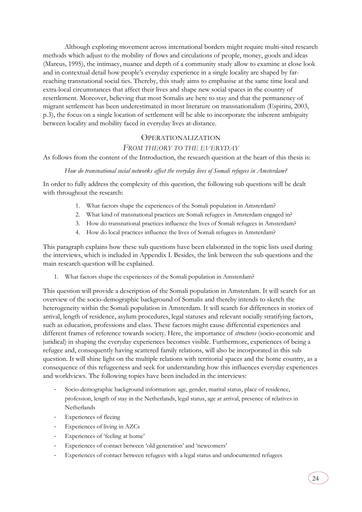Although exploring movement across international borders might require multi-sited research methods which adjust to the mobility of flows and circulations of people, money, goods and ideas (Marcus, 1995), the intimacy, nuance and depth of a community study allow to examine at close look and in contextual detail how people's everyday experience in a single locality are shaped by farreaching transnational social ties. Thereby, this study aims to emphasise at the same time local and extra-local circumstances that affect their lives and shape new social spaces in the country of resettlement. Moreover, believing that most Somalis are here to stay and that the permanency of migrant settlement has been underestimated in most literature on transnationalism (Espiritu, 2003, p.3), the focus on a single location of settlement will be able to incorporate the inherent ambiguity between locality and mobility faced in everyday lives at-distance.

## OPERATIONALIZATION

## *FROM THEORY TO THE EVERYDAY*

<span id="page-23-0"></span>As follows from the content of the Introduction, the research question at the heart of this thesis is:

## *How do transnational social networks affect the everyday lives of Somali refugees in Amsterdam?*

In order to fully address the complexity of this question, the following sub questions will be dealt with throughout the research:

- 1. What factors shape the experiences of the Somali population in Amsterdam?
- 2. What kind of transnational practices are Somali refugees in Amsterdam engaged in?
- 3. How do transnational practices influence the lives of Somali refugees in Amsterdam?
- 4. How do local practices influence the lives of Somali refugees in Amsterdam?

This paragraph explains how these sub questions have been elaborated in the topic lists used during the interviews, which is included in Appendix I. Besides, the link between the sub questions and the main research question will be explained.

1. What factors shape the experiences of the Somali population in Amsterdam?

This question will provide a description of the Somali population in Amsterdam. It will search for an overview of the socio-demographic background of Somalis and thereby intends to sketch the heterogeneity within the Somali population in Amsterdam. It will search for differences in stories of arrival, length of residence, asylum procedures, legal statuses and relevant socially stratifying factors, such as education, professions and class. These factors might cause differential experiences and different frames of reference towards society. Here, the importance of *structures* (socio-economic and juridical) in shaping the everyday experiences becomes visible. Furthermore, experiences of being a refugee and, consequently having scattered family relations, will also be incorporated in this sub question. It will shine light on the multiple relations with territorial spaces and the home country, as a consequence of this refugeeness and seek for understanding how this influences everyday experiences and worldviews. The following topics have been included in the interviews:

- Socio-demographic background information: age, gender, marital status, place of residence, profession, length of stay in the Netherlands, legal status, age at arrival, presence of relatives in Netherlands
- Experiences of fleeing
- Experiences of living in AZCs
- Experiences of 'feeling at home'
- Experiences of contact between 'old generation' and 'newcomers'
- Experiences of contact between refugees with a legal status and undocumented refugees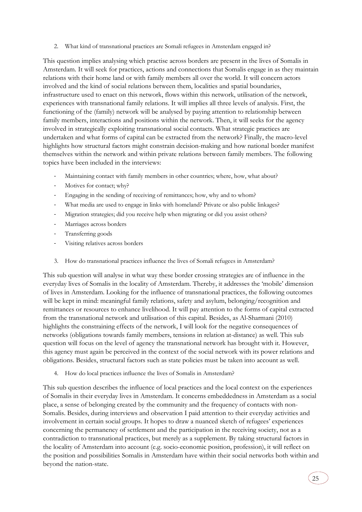2. What kind of transnational practices are Somali refugees in Amsterdam engaged in?

This question implies analysing which practise across borders are present in the lives of Somalis in Amsterdam. It will seek for practices, actions and connections that Somalis engage in as they maintain relations with their home land or with family members all over the world. It will concern actors involved and the kind of social relations between them, localities and spatial boundaries, infrastructure used to enact on this network, flows within this network, utilisation of the network, experiences with transnational family relations. It will implies all three levels of analysis. First, the functioning of the (family) network will be analysed by paying attention to relationship between family members, interactions and positions within the network. Then, it will seeks for the agency involved in strategically exploiting transnational social contacts. What strategic practices are undertaken and what forms of capital can be extracted from the network? Finally, the macro-level highlights how structural factors might constrain decision-making and how national border manifest themselves within the network and within private relations between family members. The following topics have been included in the interviews:

- Maintaining contact with family members in other countries; where, how, what about?
- Motives for contact; why?
- Engaging in the sending of receiving of remittances; how, why and to whom?
- What media are used to engage in links with homeland? Private or also public linkages?
- Migration strategies; did you receive help when migrating or did you assist others?
- Marriages across borders
- Transferring goods
- Visiting relatives across borders
- 3. How do transnational practices influence the lives of Somali refugees in Amsterdam?

This sub question will analyse in what way these border crossing strategies are of influence in the everyday lives of Somalis in the locality of Amsterdam. Thereby, it addresses the 'mobile' dimension of lives in Amsterdam. Looking for the influence of transnational practices, the following outcomes will be kept in mind: meaningful family relations, safety and asylum, belonging/recognition and remittances or resources to enhance livelihood. It will pay attention to the forms of capital extracted from the transnational network and utilisation of this capital. Besides, as Al-Sharmani (2010) highlights the constraining effects of the network, I will look for the negative consequences of networks (obligations towards family members, tensions in relation at-distance) as well. This sub question will focus on the level of agency the transnational network has brought with it. However, this agency must again be perceived in the context of the social network with its power relations and obligations. Besides, structural factors such as state policies must be taken into account as well.

4. How do local practices influence the lives of Somalis in Amsterdam?

This sub question describes the influence of local practices and the local context on the experiences of Somalis in their everyday lives in Amsterdam. It concerns embeddedness in Amsterdam as a social place, a sense of belonging created by the community and the frequency of contacts with non-Somalis. Besides, during interviews and observation I paid attention to their everyday activities and involvement in certain social groups. It hopes to draw a nuanced sketch of refugees' experiences concerning the permanency of settlement and the participation in the receiving society, not as a contradiction to transnational practices, but merely as a supplement. By taking structural factors in the locality of Amsterdam into account (e.g. socio-economic position, profession), it will reflect on the position and possibilities Somalis in Amsterdam have within their social networks both within and beyond the nation-state.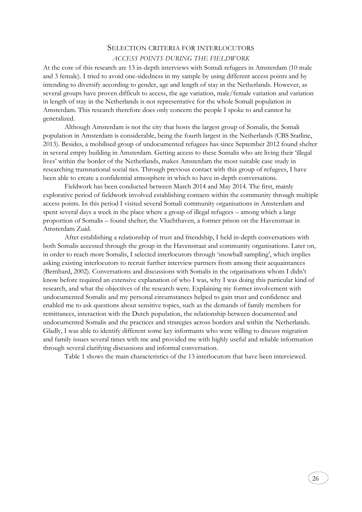## SELECTION CRITERIA FOR INTERLOCUTORS

## *ACCESS POINTS DURING THE FIELDWORK*

<span id="page-25-0"></span>At the core of this research are 13 in-depth interviews with Somali refugees in Amsterdam (10 male and 3 female). I tried to avoid one-sidedness in my sample by using different access points and by intending to diversify according to gender, age and length of stay in the Netherlands. However, as several groups have proven difficult to access, the age variation, male/female variation and variation in length of stay in the Netherlands is not representative for the whole Somali population in Amsterdam. This research therefore does only concern the people I spoke to and cannot be generalized.

Although Amsterdam is not the city that hosts the largest group of Somalis, the Somali population in Amsterdam is considerable, being the fourth largest in the Netherlands (CBS Statline, 2013). Besides, a mobilised group of undocumented refugees has since September 2012 found shelter in several empty building in Amsterdam. Getting access to these Somalis who are living their 'illegal lives' within the border of the Netherlands, makes Amsterdam the most suitable case study in researching transnational social ties. Through previous contact with this group of refugees, I have been able to create a confidential atmosphere in which to have in-depth conversations.

Fieldwork has been conducted between March 2014 and May 2014. The first, mainly explorative period of fieldwork involved establishing contacts within the community through multiple access points. In this period I visited several Somali community organisations in Amsterdam and spent several days a week in the place where a group of illegal refugees – among which a large proportion of Somalis – found shelter; the Vluchthaven, a former prison on the Havenstraat in Amsterdam Zuid.

After establishing a relationship of trust and friendship, I held in-depth conversations with both Somalis accessed through the group in the Havenstraat and community organisations. Later on, in order to reach more Somalis, I selected interlocutors through 'snowball sampling', which implies asking existing interlocutors to recruit further interview partners from among their acquaintances (Bernhard, 2002). Conversations and discussions with Somalis in the organisations whom I didn't know before required an extensive explanation of who I was, why I was doing this particular kind of research, and what the objectives of the research were. Explaining my former involvement with undocumented Somalis and my personal circumstances helped to gain trust and confidence and enabled me to ask questions about sensitive topics, such as the demands of family members for remittances, interaction with the Dutch population, the relationship between documented and undocumented Somalis and the practices and strategies across borders and within the Netherlands. Gladly, I was able to identify different some key informants who were willing to discuss migration and family issues several times with me and provided me with highly useful and reliable information through several clarifying discussions and informal conversation.

Table 1 shows the main characteristics of the 13 interlocutors that have been interviewed.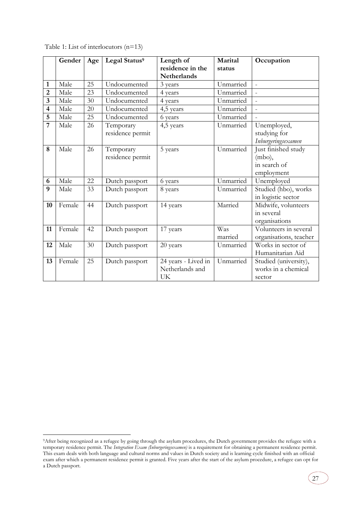|                         | Gender | Age | Legal Status <sup>9</sup> | Length of           | Marital   | Occupation             |
|-------------------------|--------|-----|---------------------------|---------------------|-----------|------------------------|
|                         |        |     |                           | residence in the    | status    |                        |
|                         |        |     |                           | <b>Netherlands</b>  |           |                        |
| 1                       | Male   | 25  | Undocumented              | 3 years             | Unmarried | $\overline{a}$         |
| $\overline{2}$          | Male   | 23  | Undocumented              | 4 years             | Unmarried | $\mathcal{L}$          |
| $\overline{3}$          | Male   | 30  | Undocumented              | 4 years             | Unmarried |                        |
| $\overline{\mathbf{4}}$ | Male   | 20  | Undocumented              | 4,5 years           | Unmarried |                        |
| 5                       | Male   | 25  | Undocumented              | 6 years             | Unmarried |                        |
| 7                       | Male   | 26  | Temporary                 | 4,5 years           | Unmarried | Unemployed,            |
|                         |        |     | residence permit          |                     |           | studying for           |
|                         |        |     |                           |                     |           | Inburgeringsexamen     |
| 8                       | Male   | 26  | Temporary                 | 5 years             | Unmarried | Just finished study    |
|                         |        |     | residence permit          |                     |           | $(mbo)$ ,              |
|                         |        |     |                           |                     |           | in search of           |
|                         |        |     |                           |                     |           | employment             |
| 6                       | Male   | 22  | Dutch passport            | 6 years             | Unmarried | Unemployed             |
| 9                       | Male   | 33  | Dutch passport            | 8 years             | Unmarried | Studied (hbo), works   |
|                         |        |     |                           |                     |           | in logistic sector     |
| 10                      | Female | 44  | Dutch passport            | 14 years            | Married   | Midwife, volunteers    |
|                         |        |     |                           |                     |           | in several             |
|                         |        |     |                           |                     |           | organisations          |
| 11                      | Female | 42  | Dutch passport            | 17 years            | Was       | Volunteers in several  |
|                         |        |     |                           |                     | married   | organisations, teacher |
| 12                      | Male   | 30  | Dutch passport            | 20 years            | Unmarried | Works in sector of     |
|                         |        |     |                           |                     |           | Humanitarian Aid       |
| 13                      | Female | 25  | Dutch passport            | 24 years - Lived in | Unmarried | Studied (university),  |
|                         |        |     |                           | Netherlands and     |           | works in a chemical    |
|                         |        |     |                           | UK                  |           | sector                 |

Table 1: List of interlocutors (n=13)

-

27

<sup>9</sup>After being recognized as a refugee by going through the asylum procedures, the Dutch government provides the refugee with a temporary residence permit. The *Integration Exam (Inburgeringsexamen)* is a requirement for obtaining a permanent residence permit. This exam deals with both language and cultural norms and values in Dutch society and is learning cycle finished with an official exam after which a permanent residence permit is granted. Five years after the start of the asylum procedure, a refugee can opt for a Dutch passport.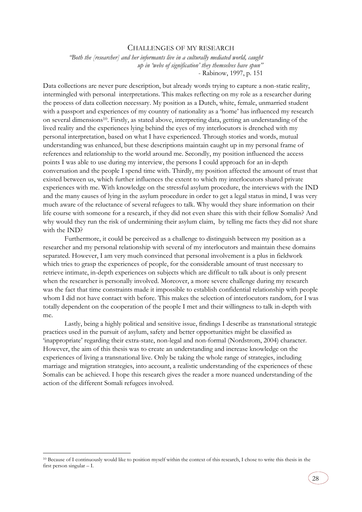### CHALLENGES OF MY RESEARCH

<span id="page-27-0"></span>*"Both the [researcher] and her informants live in a culturally mediated world, caught up in 'webs of signification' they themselves have spun"* - Rabinow, 1997, p. 151

Data collections are never pure description, but already words trying to capture a non-static reality, intermingled with personal interpretations. This makes reflecting on my role as a researcher during the process of data collection necessary. My position as a Dutch, white, female, unmarried student with a passport and experiences of my country of nationality as a 'home' has influenced my research on several dimensions10. Firstly, as stated above, interpreting data, getting an understanding of the lived reality and the experiences lying behind the eyes of my interlocutors is drenched with my personal interpretation, based on what I have experienced. Through stories and words, mutual understanding was enhanced, but these descriptions maintain caught up in my personal frame of references and relationship to the world around me. Secondly, my position influenced the access points I was able to use during my interview, the persons I could approach for an in-depth conversation and the people I spend time with. Thirdly, my position affected the amount of trust that existed between us, which further influences the extent to which my interlocutors shared private experiences with me. With knowledge on the stressful asylum procedure, the interviews with the IND and the many causes of lying in the asylum procedure in order to get a legal status in mind, I was very much aware of the reluctance of several refugees to talk. Why would they share information on their life course with someone for a research, if they did not even share this with their fellow Somalis? And why would they run the risk of undermining their asylum claim, by telling me facts they did not share with the IND?

Furthermore, it could be perceived as a challenge to distinguish between my position as a researcher and my personal relationship with several of my interlocutors and maintain these domains separated. However, I am very much convinced that personal involvement is a plus in fieldwork which tries to grasp the experiences of people, for the considerable amount of trust necessary to retrieve intimate, in-depth experiences on subjects which are difficult to talk about is only present when the researcher is personally involved. Moreover, a more severe challenge during my research was the fact that time constraints made it impossible to establish confidential relationship with people whom I did not have contact with before. This makes the selection of interlocutors random, for I was totally dependent on the cooperation of the people I met and their willingness to talk in-depth with me.

Lastly, being a highly political and sensitive issue, findings I describe as transnational strategic practices used in the pursuit of asylum, safety and better opportunities might be classified as 'inappropriate' regarding their extra-state, non-legal and non-formal (Nordstrom, 2004) character. However, the aim of this thesis was to create an understanding and increase knowledge on the experiences of living a transnational live. Only be taking the whole range of strategies, including marriage and migration strategies, into account, a realistic understanding of the experiences of these Somalis can be achieved. I hope this research gives the reader a more nuanced understanding of the action of the different Somali refugees involved.

-

<sup>&</sup>lt;sup>10</sup> Because of I continuously would like to position myself within the context of this research, I chose to write this thesis in the first person singular – I.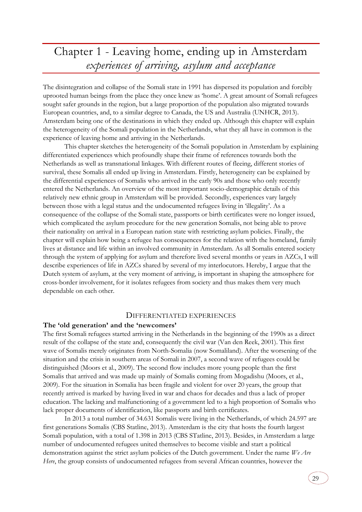## <span id="page-28-0"></span>Chapter 1 - Leaving home, ending up in Amsterdam *experiences of arriving, asylum and acceptance*

The disintegration and collapse of the Somali state in 1991 has dispersed its population and forcibly uprooted human beings from the place they once knew as 'home'. A great amount of Somali refugees sought safer grounds in the region, but a large proportion of the population also migrated towards European countries, and, to a similar degree to Canada, the US and Australia (UNHCR, 2013). Amsterdam being one of the destinations in which they ended up. Although this chapter will explain the heterogeneity of the Somali population in the Netherlands, what they all have in common is the experience of leaving home and arriving in the Netherlands.

This chapter sketches the heterogeneity of the Somali population in Amsterdam by explaining differentiated experiences which profoundly shape their frame of references towards both the Netherlands as well as transnational linkages. With different routes of fleeing, different stories of survival, these Somalis all ended up living in Amsterdam. Firstly, heterogeneity can be explained by the differential experiences of Somalis who arrived in the early 90s and those who only recently entered the Netherlands. An overview of the most important socio-demographic details of this relatively new ethnic group in Amsterdam will be provided. Secondly, experiences vary largely between those with a legal status and the undocumented refugees living in 'illegality'. As a consequence of the collapse of the Somali state, passports or birth certificates were no longer issued, which complicated the asylum procedure for the new generation Somalis, not being able to prove their nationality on arrival in a European nation state with restricting asylum policies. Finally, the chapter will explain how being a refugee has consequences for the relation with the homeland, family lives at distance and life within an involved community in Amsterdam. As all Somalis entered society through the system of applying for asylum and therefore lived several months or years in AZCs, I will describe experiences of life in AZCs shared by several of my interlocutors. Hereby, I argue that the Dutch system of asylum, at the very moment of arriving, is important in shaping the atmosphere for cross-border involvement, for it isolates refugees from society and thus makes them very much dependable on each other.

## DIFFERENTIATED EXPERIENCES

### <span id="page-28-2"></span><span id="page-28-1"></span>**The 'old generation' and the 'newcomers'**

The first Somali refugees started arriving in the Netherlands in the beginning of the 1990s as a direct result of the collapse of the state and, consequently the civil war (Van den Reek, 2001). This first wave of Somalis merely originates from North-Somalia (now Somaliland). After the worsening of the situation and the crisis in southern areas of Somali in 2007, a second wave of refugees could be distinguished (Moors et al., 2009). The second flow includes more young people than the first Somalis that arrived and was made up mainly of Somalis coming from Mogadishu (Moors, et al., 2009). For the situation in Somalia has been fragile and violent for over 20 years, the group that recently arrived is marked by having lived in war and chaos for decades and thus a lack of proper education. The lacking and malfunctioning of a government led to a high proportion of Somalis who lack proper documents of identification, like passports and birth certificates.

In 2013 a total number of 34.631 Somalis were living in the Netherlands, of which 24.597 are first generations Somalis (CBS Statline, 2013). Amsterdam is the city that hosts the fourth largest Somali population, with a total of 1.398 in 2013 (CBS STatline, 2013). Besides, in Amsterdam a large number of undocumented refugees united themselves to become visible and start a political demonstration against the strict asylum policies of the Dutch government. Under the name *We Are Here*, the group consists of undocumented refugees from several African countries, however the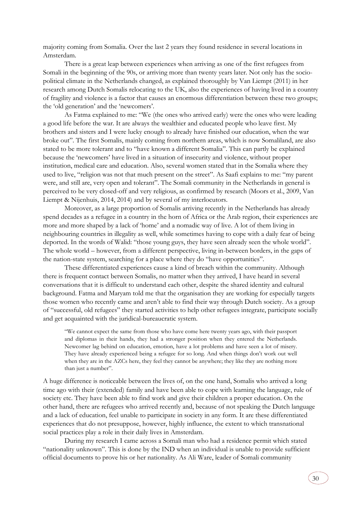majority coming from Somalia. Over the last 2 years they found residence in several locations in Amsterdam.

There is a great leap between experiences when arriving as one of the first refugees from Somali in the beginning of the 90s, or arriving more than twenty years later. Not only has the sociopolitical climate in the Netherlands changed, as explained thoroughly by Van Liempt (2011) in her research among Dutch Somalis relocating to the UK, also the experiences of having lived in a country of fragility and violence is a factor that causes an enormous differentiation between these two groups; the 'old generation' and the 'newcomers'.

As Fatma explained to me: "We (the ones who arrived early) were the ones who were leading a good life before the war. It are always the wealthier and educated people who leave first. My brothers and sisters and I were lucky enough to already have finished our education, when the war broke out". The first Somalis, mainly coming from northern areas, which is now Somaliland, are also stated to be more tolerant and to "have known a different Somalia". This can partly be explained because the 'newcomers' have lived in a situation of insecurity and violence, without proper institution, medical care and education. Also, several women stated that in the Somalia where they used to live, "religion was not that much present on the street". As Saafi explains to me: "my parent were, and still are, very open and tolerant". The Somali community in the Netherlands in general is perceived to be very closed-off and very religious, as confirmed by research (Moors et al., 2009, Van Liempt & Nijenhuis, 2014, 2014) and by several of my interlocutors.

Moreover, as a large proportion of Somalis arriving recently in the Netherlands has already spend decades as a refugee in a country in the horn of Africa or the Arab region, their experiences are more and more shaped by a lack of 'home' and a nomadic way of live. A lot of them living in neighbouring countries in illegality as well, while sometimes having to cope with a daily fear of being deported. In the words of Walid: "those young guys, they have seen already seen the whole world". The whole world – however, from a different perspective, living in-between borders, in the gaps of the nation-state system, searching for a place where they do "have opportunities".

These differentiated experiences cause a kind of breach within the community. Although there is frequent contact between Somalis, no matter when they arrived, I have heard in several conversations that it is difficult to understand each other, despite the shared identity and cultural background. Fatma and Maryam told me that the organisation they are working for especially targets those women who recently came and aren't able to find their way through Dutch society. As a group of "successful, old refugees" they started activities to help other refugees integrate, participate socially and get acquainted with the juridical-bureaucratic system.

"We cannot expect the same from those who have come here twenty years ago, with their passport and diplomas in their hands, they had a stronger position when they entered the Netherlands. Newcomer lag behind on education, emotion, have a lot problems and have seen a lot of misery. They have already experienced being a refugee for so long. And when things don't work out well when they are in the AZCs here, they feel they cannot be anywhere; they like they are nothing more than just a number".

A huge difference is noticeable between the lives of, on the one hand, Somalis who arrived a long time ago with their (extended) family and have been able to cope with learning the language, rule of society etc. They have been able to find work and give their children a proper education. On the other hand, there are refugees who arrived recently and, because of not speaking the Dutch language and a lack of education, feel unable to participate in society in any form. It are these differentiated experiences that do not presuppose, however, highly influence, the extent to which transnational social practices play a role in their daily lives in Amsterdam.

During my research I came across a Somali man who had a residence permit which stated "nationality unknown". This is done by the IND when an individual is unable to provide sufficient official documents to prove his or her nationality. As Ali Ware, leader of Somali community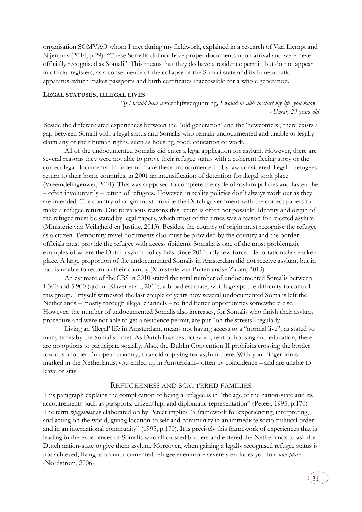organisation SOMVAO whom I met during my fieldwork, explained in a research of Van Liempt and Nijenhuis (2014, p 29): "These Somalis did not have proper documents upon arrival and were never officially recognised as Somali". This means that they do have a residence permit, but do not appear in official registers, as a consequence of the collapse of the Somali state and its bureaucratic apparatus, which makes passports and birth certificates inaccessible for a whole generation.

### <span id="page-30-0"></span>**LEGAL STATUSES, ILLEGAL LIVES**

*"If I would have a* verblijfsvergunning*, I would be able to start my life, you know" - Umar, 23 years old*

Beside the differentiated experiences between the 'old generation' and the 'newcomers', there exists a gap between Somali with a legal status and Somalis who remain undocumented and unable to legally claim any of their human rights, such as housing, food, education or work.

All of the undocumented Somalis did enter a legal application for asylum. However, there are several reasons they were not able to prove their refugee status with a coherent fleeing story or the correct legal documents. In order to make these undocumented – by law considered illegal – refugees return to their home countries, in 2001 an intensification of detention for illegal took place (Vreemdelingenwet, 2001). This was supposed to complete the cycle of asylum policies and fasten the – often involuntarily – return of refugees. However, in reality policies don't always work out as they are intended. The country of origin must provide the Dutch government with the correct papers to make a refugee return. Due to various reasons this return is often not possible. Identity and origin of the refugee must be stated by legal papers, which most of the times was a reason for rejected asylum (Ministerie van Veiligheid en Justitie, 2013). Besides, the country of origin must recognise the refugee as a citizen. Temporary travel documents also must be provided by the country and the border officials must provide the refugee with access (ibidem). Somalia is one of the most problematic examples of where the Dutch asylum policy fails; since 2010 only few forced deportations have taken place. A large proportion of the undocumented Somalis in Amsterdam did not receive asylum, but in fact is unable to return to their country (Ministerie van Buitenlandse Zaken, 2013).

An estimate of the CBS in 2010 stated the total number of undocumented Somalis between 1.300 and 5.900 (qtd in: Klaver et al., 2010); a broad estimate, which grasps the difficulty to control this group. I myself witnessed the last couple of years how several undocumented Somalis left the Netherlands – mostly through illegal channels – to find better opportunities somewhere else. However, the number of undocumented Somalis also increases, for Somalis who finish their asylum procedure and were not able to get a residence permit, are put "on the streets" regularly.

Living an 'illegal' life in Amsterdam, means not having access to a "normal live", as stated so many times by the Somalis I met. As Dutch laws restrict work, rent of housing and education, there are no options to participate socially. Also, the Dublin Convention II prohibits crossing the border towards another European country, to avoid applying for asylum there. With your fingerprints marked in the Netherlands, you ended up in Amsterdam– often by coincidence – and are unable to leave or stay.

## REFUGEENESS AND SCATTERED FAMILIES

<span id="page-30-1"></span>This paragraph explains the complication of being a refugee is in "the age of the nation-state and its accoutrements such as passports, citizenship, and diplomatic representation" (Peteet, 1995, p.170) The term *refugeeness* as elaborated on by Peteet implies "a framework for experiencing, interpreting, and acting on the world, giving location to self and community in an immediate socio-political order and in an international community" (1995, p.170). It is precisely this framework of experiences that is leading in the experiences of Somalis who all crossed borders and entered the Netherlands to ask the Dutch nation-state to give them asylum. Moreover, when gaining a legally recognised refugee status is not achieved, living as an undocumented refugee even more severely excludes you to a *non*-*place* (Nordstrom, 2006).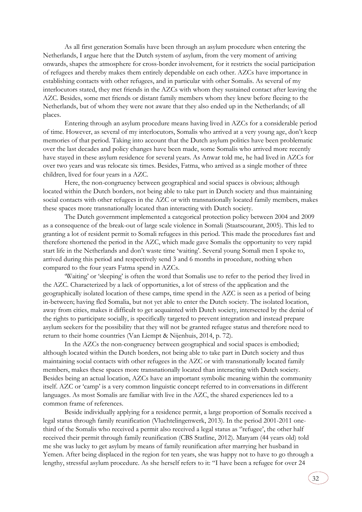As all first generation Somalis have been through an asylum procedure when entering the Netherlands, I argue here that the Dutch system of asylum, from the very moment of arriving onwards, shapes the atmosphere for cross-border involvement, for it restricts the social participation of refugees and thereby makes them entirely dependable on each other. AZCs have importance in establishing contacts with other refugees, and in particular with other Somalis. As several of my interlocutors stated, they met friends in the AZCs with whom they sustained contact after leaving the AZC. Besides, some met friends or distant family members whom they knew before fleeing to the Netherlands, but of whom they were not aware that they also ended up in the Netherlands; of all places.

 Entering through an asylum procedure means having lived in AZCs for a considerable period of time. However, as several of my interlocutors, Somalis who arrived at a very young age, don't keep memories of that period. Taking into account that the Dutch asylum politics have been problematic over the last decades and policy changes have been made, some Somalis who arrived more recently have stayed in these asylum residence for several years. As Anwar told me, he had lived in AZCs for over two years and was relocate six times. Besides, Fatma, who arrived as a single mother of three children, lived for four years in a AZC.

Here, the non-congruency between geographical and social spaces is obvious; although located within the Dutch borders, not being able to take part in Dutch society and thus maintaining social contacts with other refugees in the AZC or with transnationally located family members, makes these spaces more transnationally located than interacting with Dutch society.

The Dutch government implemented a categorical protection policy between 2004 and 2009 as a consequence of the break-out of large scale violence in Somali (Staatscourant, 2005). This led to granting a lot of resident permit to Somali refugees in this period. This made the procedures fast and therefore shortened the period in the AZC, which made gave Somalis the opportunity to very rapid start life in the Netherlands and don't waste time 'waiting'. Several young Somali men I spoke to, arrived during this period and respectively send 3 and 6 months in procedure, nothing when compared to the four years Fatma spend in AZCs.

'Waiting' or 'sleeping' is often the word that Somalis use to refer to the period they lived in the AZC. Characterized by a lack of opportunities, a lot of stress of the application and the geographically isolated location of these camps, time spend in the AZC is seen as a period of being in-between; having fled Somalia, but not yet able to enter the Dutch society. The isolated location, away from cities, makes it difficult to get acquainted with Dutch society, intersected by the denial of the rights to participate socially, is specifically targeted to prevent integration and instead prepare asylum seekers for the possibility that they will not be granted refugee status and therefore need to return to their home countries (Van Liempt & Nijenhuis, 2014, p. 72).

In the AZCs the non-congruency between geographical and social spaces is embodied; although located within the Dutch borders, not being able to take part in Dutch society and thus maintaining social contacts with other refugees in the AZC or with transnationally located family members, makes these spaces more transnationally located than interacting with Dutch society. Besides being an actual location, AZCs have an important symbolic meaning within the community itself. AZC or 'camp' is a very common linguistic concept referred to in conversations in different languages. As most Somalis are familiar with live in the AZC, the shared experiences led to a common frame of references.

Beside individually applying for a residence permit, a large proportion of Somalis received a legal status through family reunification (Vluchtelingenwerk, 2013). In the period 2001-2011 onethird of the Somalis who received a permit also received a legal status as "refugee", the other half received their permit through family reunification (CBS Statline, 2012). Maryam (44 years old) told me she was lucky to get asylum by means of family reunification after marrying her husband in Yemen. After being displaced in the region for ten years, she was happy not to have to go through a lengthy, stressful asylum procedure. As she herself refers to it: "I have been a refugee for over 24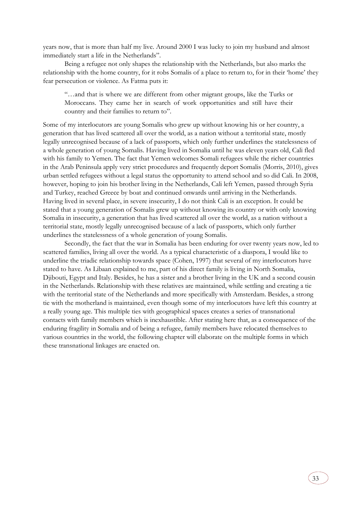years now, that is more than half my live. Around 2000 I was lucky to join my husband and almost immediately start a life in the Netherlands".

Being a refugee not only shapes the relationship with the Netherlands, but also marks the relationship with the home country, for it robs Somalis of a place to return to, for in their 'home' they fear persecution or violence. As Fatma puts it:

"…and that is where we are different from other migrant groups, like the Turks or Moroccans. They came her in search of work opportunities and still have their country and their families to return to".

Some of my interlocutors are young Somalis who grew up without knowing his or her country, a generation that has lived scattered all over the world, as a nation without a territorial state, mostly legally unrecognised because of a lack of passports, which only further underlines the statelessness of a whole generation of young Somalis. Having lived in Somalia until he was eleven years old, Cali fled with his family to Yemen. The fact that Yemen welcomes Somali refugees while the richer countries in the Arab Peninsula apply very strict procedures and frequently deport Somalis (Morris, 2010), gives urban settled refugees without a legal status the opportunity to attend school and so did Cali. In 2008, however, hoping to join his brother living in the Netherlands, Cali left Yemen, passed through Syria and Turkey, reached Greece by boat and continued onwards until arriving in the Netherlands. Having lived in several place, in severe insecurity, I do not think Cali is an exception. It could be stated that a young generation of Somalis grew up without knowing its country or with only knowing Somalia in insecurity, a generation that has lived scattered all over the world, as a nation without a territorial state, mostly legally unrecognised because of a lack of passports, which only further underlines the statelessness of a whole generation of young Somalis.

Secondly, the fact that the war in Somalia has been enduring for over twenty years now, led to scattered families, living all over the world. As a typical characteristic of a diaspora, I would like to underline the triadic relationship towards space (Cohen, 1997) that several of my interlocutors have stated to have. As Libaan explained to me, part of his direct family is living in North Somalia, Djibouti, Egypt and Italy. Besides, he has a sister and a brother living in the UK and a second cousin in the Netherlands. Relationship with these relatives are maintained, while settling and creating a tie with the territorial state of the Netherlands and more specifically with Amsterdam. Besides, a strong tie with the motherland is maintained, even though some of my interlocutors have left this country at a really young age. This multiple ties with geographical spaces creates a series of transnational contacts with family members which is inexhaustible. After stating here that, as a consequence of the enduring fragility in Somalia and of being a refugee, family members have relocated themselves to various countries in the world, the following chapter will elaborate on the multiple forms in which these transnational linkages are enacted on.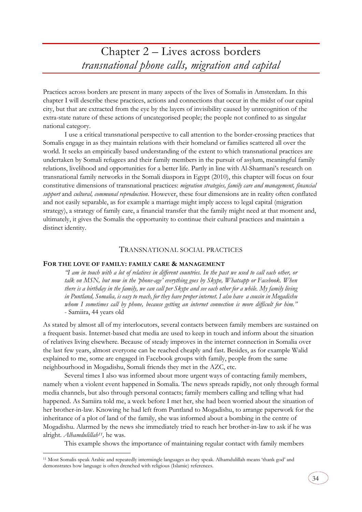<span id="page-33-0"></span>Practices across borders are present in many aspects of the lives of Somalis in Amsterdam. In this chapter I will describe these practices, actions and connections that occur in the midst of our capital city, but that are extracted from the eye by the layers of invisibility caused by unrecognition of the extra-state nature of these actions of uncategorised people; the people not confined to as singular national category.

I use a critical transnational perspective to call attention to the border-crossing practices that Somalis engage in as they maintain relations with their homeland or families scattered all over the world. It seeks an empirically based understanding of the extent to which transnational practices are undertaken by Somali refugees and their family members in the pursuit of asylum, meaningful family relations, livelihood and opportunities for a better life. Partly in line with Al-Sharmani's research on transnational family networks in the Somali diaspora in Egypt (2010), this chapter will focus on four constitutive dimensions of transnational practices: *migration strategies, family care and management, financial support* and *cultural, communal reproduction*. However, these four dimensions are in reality often conflated and not easily separable, as for example a marriage might imply access to legal capital (migration strategy), a strategy of family care, a financial transfer that the family might need at that moment and, ultimately, it gives the Somalis the opportunity to continue their cultural practices and maintain a distinct identity.

## TRANSNATIONAL SOCIAL PRACTICES

### <span id="page-33-2"></span><span id="page-33-1"></span>**FOR THE LOVE OF FAMILY: FAMILY CARE & MANAGEMENT**

-

*"I am in touch with a lot of relatives in different countries. In the past we used to call each other, or talk on MSN, but now in the 'phone-age' everything goes by Skype, Whatsapp or Facebook. When there is a birthday in the family, we can call per Skype and see each other for a while. My family living in Puntland, Somalia, is easy to reach, for they have proper internet. I also have a cousin in Mogadishu whom I sometimes call by phone, because getting an internet connection is more difficult for him."* - Samiira, 44 years old

As stated by almost all of my interlocutors, several contacts between family members are sustained on a frequent basis. Internet-based chat media are used to keep in touch and inform about the situation of relatives living elsewhere. Because of steady improves in the internet connection in Somalia over the last few years, almost everyone can be reached cheaply and fast. Besides, as for example Walid explained to me, some are engaged in Facebook groups with family, people from the same neighbourhood in Mogadishu, Somali friends they met in the AZC, etc.

Several times I also was informed about more urgent ways of contacting family members, namely when a violent event happened in Somalia. The news spreads rapidly, not only through formal media channels, but also through personal contacts; family members calling and telling what had happened. As Samiira told me, a week before I met her, she had been worried about the situation of her brother-in-law. Knowing he had left from Puntland to Mogadishu, to arrange paperwork for the inheritance of a plot of land of the family, she was informed about a bombing in the centre of Mogadishu. Alarmed by the news she immediately tried to reach her brother-in-law to ask if he was alright. *Alhamdulillah11,* he was.

This example shows the importance of maintaining regular contact with family members

<sup>11</sup> Most Somalis speak Arabic and repeatedly intermingle languages as they speak. Alhamdulillah means 'thank god' and demonstrates how language is often drenched with religious (Islamic) references.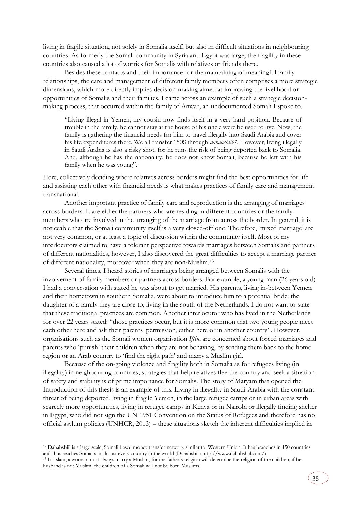living in fragile situation, not solely in Somalia itself, but also in difficult situations in neighbouring countries. As formerly the Somali community in Syria and Egypt was large, the fragility in these countries also caused a lot of worries for Somalis with relatives or friends there.

Besides these contacts and their importance for the maintaining of meaningful family relationships, the care and management of different family members often comprises a more strategic dimensions, which more directly implies decision-making aimed at improving the livelihood or opportunities of Somalis and their families. I came across an example of such a strategic decisionmaking process, that occurred within the family of Anwar, an undocumented Somali I spoke to.

"Living illegal in Yemen, my cousin now finds itself in a very hard position. Because of trouble in the family, he cannot stay at the house of his uncle were he used to live. Now, the family is gathering the financial needs for him to travel illegally into Saudi Arabia and cover his life expenditures there. We all transfer 150\$ through *dahabshiil<sup>12</sup> .* However, living illegally in Saudi Arabia is also a risky shot, for he runs the risk of being deported back to Somalia. And, although he has the nationality, he does not know Somali, because he left with his family when he was young".

Here, collectively deciding where relatives across borders might find the best opportunities for life and assisting each other with financial needs is what makes practices of family care and management transnational.

Another important practice of family care and reproduction is the arranging of marriages across borders. It are either the partners who are residing in different countries or the family members who are involved in the arranging of the marriage from across the border. In general, it is noticeable that the Somali community itself is a very closed-off one. Therefore, 'mixed marriage' are not very common, or at least a topic of discussion within the community itself. Most of my interlocutors claimed to have a tolerant perspective towards marriages between Somalis and partners of different nationalities, however, I also discovered the great difficulties to accept a marriage partner of different nationality, moreover when they are non-Muslim.<sup>13</sup>

Several times, I heard stories of marriages being arranged between Somalis with the involvement of family members or partners across borders. For example, a young man (26 years old) I had a conversation with stated he was about to get married. His parents, living in-between Yemen and their hometown in southern Somalia, were about to introduce him to a potential bride: the daughter of a family they are close to, living in the south of the Netherlands. I do not want to state that these traditional practices are common. Another interlocutor who has lived in the Netherlands for over 22 years stated: "those practices occur, but it is more common that two young people meet each other here and ask their parents' permission, either here or in another country". However, organisations such as the Somali women organisation *Iftin*, are concerned about forced marriages and parents who 'punish' their children when they are not behaving, by sending them back to the home region or an Arab country to 'find the right path' and marry a Muslim girl.

Because of the on-going violence and fragility both in Somalia as for refugees living (in illegality) in neighbouring countries, strategies that help relatives flee the country and seek a situation of safety and stability is of prime importance for Somalis. The story of Maryam that opened the Introduction of this thesis is an example of this. Living in illegality in Saudi-Arabia with the constant threat of being deported, living in fragile Yemen, in the large refugee camps or in urban areas with scarcely more opportunities, living in refugee camps in Kenya or in Nairobi or illegally finding shelter in Egypt, who did not sign the UN 1951 Convention on the Status of Refugees and therefore has no official asylum policies (UNHCR, 2013) – these situations sketch the inherent difficulties implied in

-

<sup>12</sup> Dahabshiil is a large scale, Somali based money transfer network similar to Western Union. It has branches in 150 countries and thus reaches Somalis in almost every country in the world (Dahabshiil: [http://www.dahabshiil.com/\)](http://www.dahabshiil.com/)

<sup>13</sup> In Islam, a woman must always marry a Muslim, for the father's religion will determine the religion of the children; if her husband is not Muslim, the children of a Somali will not be born Muslims.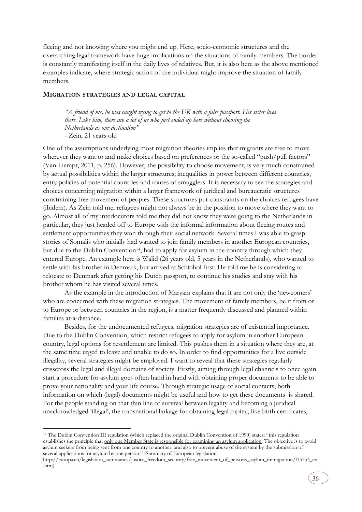fleeing and not knowing where you might end up. Here, socio-economic structures and the overarching legal framework have huge implications on the situations of family members. The border is constantly manifesting itself in the daily lives of relatives. But, it is also here as the above mentioned examples indicate, where strategic action of the individual might improve the situation of family members.

## <span id="page-35-0"></span>**MIGRATION STRATEGIES AND LEGAL CAPITAL**

-

*"A friend of me, he was caught trying to get to the UK with a false passport. His sister lives there. Like him, there are a lot of us who just ended up here without choosing the Netherlands as our destination"* - Zein, 21 years old

One of the assumptions underlying most migration theories implies that migrants are free to move wherever they want to and make choices based on preferences or the so-called "push/pull factors" (Van Liempt, 2011, p. 256). However, the possibility to choose movement, is very much constrained by actual possibilities within the larger structures; inequalities in power between different countries, entry policies of potential countries and routes of smugglers. It is necessary to see the strategies and choices concerning migration within a larger framework of juridical and bureaucratic structures constraining free movement of peoples. These structures put constraints on the choices refugees have (ibidem). As Zein told me, refugees might not always be in the position to move where they want to go. Almost all of my interlocutors told me they did not know they were going to the Netherlands in particular, they just headed off to Europe with the informal information about fleeing routes and settlement opportunities they won through their social network. Several times I was able to grasp stories of Somalis who initially had wanted to join family members in another European countries, but due to the Dublin Convention<sup>14</sup>, had to apply for asylum in the country through which they entered Europe. An example here is Walid (26 years old, 5 years in the Netherlands), who wanted to settle with his brother in Denmark, but arrived at Schiphol first. He told me he is considering to relocate to Denmark after getting his Dutch passport, to continue his studies and stay with his brother whom he has visited several times.

As the example in the introduction of Maryam explains that it are not only the 'newcomers' who are concerned with these migration strategies. The movement of family members, be it from or to Europe or between countries in the region, is a matter frequently discussed and planned within families at-a-distance.

Besides, for the undocumented refugees, migration strategies are of existential importance. Due to the Dublin Convention, which restrict refugees to apply for asylum in another European country, legal options for resettlement are limited. This pushes them in a situation where they are, at the same time urged to leave and unable to do so. In order to find opportunities for a live outside illegality, several strategies might be employed. I want to reveal that these strategies regularly crisscross the legal and illegal domains of society. Firstly, aiming through legal channels to once again start a procedure for asylum goes often hand in hand with obtaining proper documents to be able to prove your nationality and your life course. Through strategic usage of social contacts, both information on which (legal) documents might be useful and how to get these documents is shared. For the people standing on that thin line of survival between legality and becoming a juridical unacknowledged 'illegal', the transnational linkage for obtaining legal capital, like birth certificates,

<sup>14</sup> The Dublin Convention III regulation (which replaced the original Dublin Convention of 1990) states: "this regulation establishes the principle that only one Member State is responsible for examining an asylum application. The objective is to avoid asylum seekers from being sent from one country to another, and also to prevent abuse of the system by the submission of several applications for asylum by one person." (Summary of European legislation:

[http://europa.eu/legislation\\_summaries/justice\\_freedom\\_security/free\\_movement\\_of\\_persons\\_asylum\\_immigration/l33153\\_en](http://europa.eu/legislation_summaries/justice_freedom_security/free_movement_of_persons_asylum_immigration/l33153_en.htm) [.htm\)](http://europa.eu/legislation_summaries/justice_freedom_security/free_movement_of_persons_asylum_immigration/l33153_en.htm).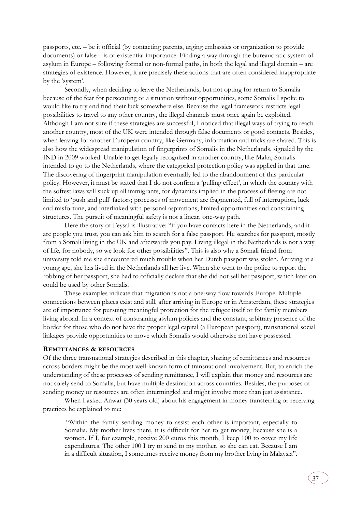passports, etc. – be it official (by contacting parents, urging embassies or organization to provide documents) or false – is of existential importance. Finding a way through the bureaucratic system of asylum in Europe – following formal or non-formal paths, in both the legal and illegal domain – are strategies of existence. However, it are precisely these actions that are often considered inappropriate by the 'system'.

Secondly, when deciding to leave the Netherlands, but not opting for return to Somalia because of the fear for persecuting or a situation without opportunities, some Somalis I spoke to would like to try and find their luck somewhere else. Because the legal framework restricts legal possibilities to travel to any other country, the illegal channels must once again be exploited. Although I am not sure if these strategies are successful, I noticed that illegal ways of trying to reach another country, most of the UK were intended through false documents or good contacts. Besides, when leaving for another European country, like Germany, information and tricks are shared. This is also how the widespread manipulation of fingerprints of Somalis in the Netherlands, signaled by the IND in 2009 worked. Unable to get legally recognized in another country, like Malta, Somalis intended to go to the Netherlands, where the categorical protection policy was applied in that time. The discovering of fingerprint manipulation eventually led to the abandonment of this particular policy. However, it must be stated that I do not confirm a 'pulling effect', in which the country with the softest laws will suck up all immigrants, for dynamics implied in the process of fleeing are not limited to 'push and pull' factors; processes of movement are fragmented, full of interruption, luck and misfortune, and interlinked with personal aspirations, limited opportunities and constraining structures. The pursuit of meaningful safety is not a linear, one-way path.

Here the story of Feysal is illustrative: "if you have contacts here in the Netherlands, and it are people you trust, you can ask him to search for a false passport. He searches for passport, mostly from a Somali living in the UK and afterwards you pay. Living illegal in the Netherlands is not a way of life, for nobody, so we look for other possibilities". This is also why a Somali friend from university told me she encountered much trouble when her Dutch passport was stolen. Arriving at a young age, she has lived in the Netherlands all her live. When she went to the police to report the robbing of her passport, she had to officially declare that she did not sell her passport, which later on could be used by other Somalis.

These examples indicate that migration is not a one-way flow towards Europe. Multiple connections between places exist and still, after arriving in Europe or in Amsterdam, these strategies are of importance for pursuing meaningful protection for the refugee itself or for family members living abroad. In a context of constraining asylum policies and the constant, arbitrary presence of the border for those who do not have the proper legal capital (a European passport), transnational social linkages provide opportunities to move which Somalis would otherwise not have possessed.

## <span id="page-36-0"></span>**REMITTANCES & RESOURCES**

Of the three transnational strategies described in this chapter, sharing of remittances and resources across borders might be the most well-known form of transnational involvement. But, to enrich the understanding of these processes of sending remittance, I will explain that money and resources are not solely send to Somalia, but have multiple destination across countries. Besides, the purposes of sending money or resources are often intermingled and might involve more than just assistance.

When I asked Anwar (30 years old) about his engagement in money transferring or receiving practices he explained to me:

"Within the family sending money to assist each other is important, especially to Somalia. My mother lives there, it is difficult for her to get money, because she is a women. If I, for example, receive 200 euros this month, I keep 100 to cover my life expenditures. The other 100 I try to send to my mother, so she can eat. Because I am in a difficult situation, I sometimes receive money from my brother living in Malaysia".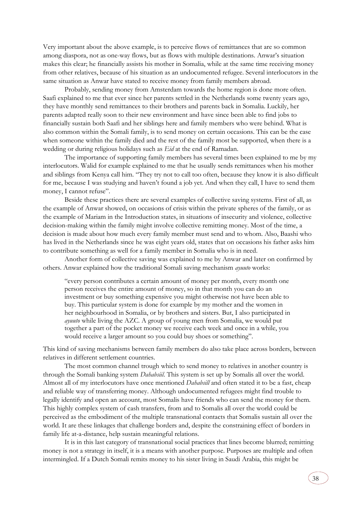Very important about the above example, is to perceive flows of remittances that are so common among diaspora, not as one-way flows, but as flows with multiple destinations. Anwar's situation makes this clear; he financially assists his mother in Somalia, while at the same time receiving money from other relatives, because of his situation as an undocumented refugee. Several interlocutors in the same situation as Anwar have stated to receive money from family members abroad.

Probably, sending money from Amsterdam towards the home region is done more often. Saafi explained to me that ever since her parents settled in the Netherlands some twenty years ago, they have monthly send remittances to their brothers and parents back in Somalia. Luckily, her parents adapted really soon to their new environment and have since been able to find jobs to financially sustain both Saafi and her siblings here and family members who were behind. What is also common within the Somali family, is to send money on certain occasions. This can be the case when someone within the family died and the rest of the family most be supported, when there is a wedding or during religious holidays such as *Eid* at the end of Ramadan.

The importance of supporting family members has several times been explained to me by my interlocutors. Walid for example explained to me that he usually sends remittances when his mother and siblings from Kenya call him. "They try not to call too often, because they know it is also difficult for me, because I was studying and haven't found a job yet. And when they call, I have to send them money, I cannot refuse".

Beside these practices there are several examples of collective saving systems. First of all, as the example of Anwar showed, on occasions of crisis within the private spheres of the family, or as the example of Mariam in the Introduction states, in situations of insecurity and violence, collective decision-making within the family might involve collective remitting money. Most of the time, a decision is made about how much every family member must send and to whom. Also, Baashi who has lived in the Netherlands since he was eight years old, states that on occasions his father asks him to contribute something as well for a family member in Somalia who is in need.

Another form of collective saving was explained to me by Anwar and later on confirmed by others. Anwar explained how the traditional Somali saving mechanism *ayuuto* works:

"every person contributes a certain amount of money per month, every month one person receives the entire amount of money, so in that month you can do an investment or buy something expensive you might otherwise not have been able to buy. This particular system is done for example by my mother and the women in her neighbourhood in Somalia, or by brothers and sisters. But, I also participated in *ayuuto* while living the AZC. A group of young men from Somalia, we would put together a part of the pocket money we receive each week and once in a while, you would receive a larger amount so you could buy shoes or something".

This kind of saving mechanisms between family members do also take place across borders, between relatives in different settlement countries.

The most common channel trough which to send money to relatives in another country is through the Somali banking system *Dahabsiil*. This system is set up by Somalis all over the world. Almost all of my interlocutors have once mentioned *Dahabsill* and often stated it to be a fast, cheap and reliable way of transferring money. Although undocumented refugees might find trouble to legally identify and open an account, most Somalis have friends who can send the money for them. This highly complex system of cash transfers, from and to Somalis all over the world could be perceived as the embodiment of the multiple transnational contacts that Somalis sustain all over the world. It are these linkages that challenge borders and, despite the constraining effect of borders in family life at-a-distance, help sustain meaningful relations.

It is in this last category of transnational social practices that lines become blurred; remitting money is not a strategy in itself, it is a means with another purpose. Purposes are multiple and often intermingled. If a Dutch Somali remits money to his sister living in Saudi Arabia, this might be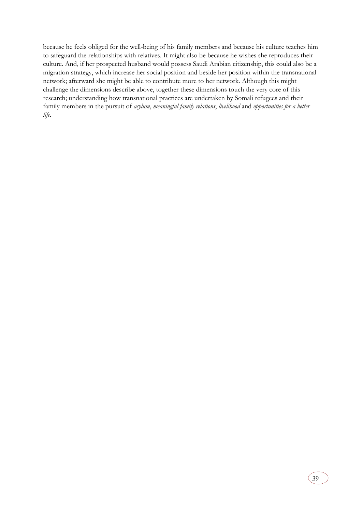because he feels obliged for the well-being of his family members and because his culture teaches him to safeguard the relationships with relatives. It might also be because he wishes she reproduces their culture. And, if her prospected husband would possess Saudi Arabian citizenship, this could also be a migration strategy, which increase her social position and beside her position within the transnational network; afterward she might be able to contribute more to her network. Although this might challenge the dimensions describe above, together these dimensions touch the very core of this research; understanding how transnational practices are undertaken by Somali refugees and their family members in the pursuit of *asylum*, *meaningful family relations*, *livelihood* and *opportunities for a better life*.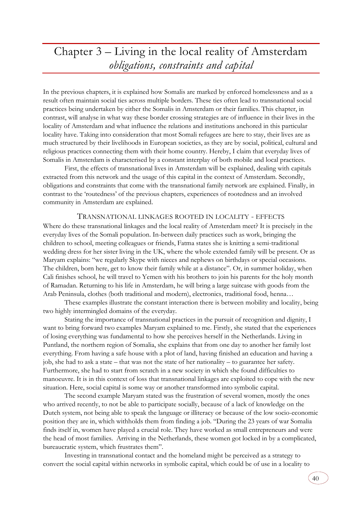## <span id="page-39-0"></span>Chapter 3 – Living in the local reality of Amsterdam *obligations, constraints and capital*

In the previous chapters, it is explained how Somalis are marked by enforced homelessness and as a result often maintain social ties across multiple borders. These ties often lead to transnational social practices being undertaken by either the Somalis in Amsterdam or their families. This chapter, in contrast, will analyse in what way these border crossing strategies are of influence in their lives in the locality of Amsterdam and what influence the relations and institutions anchored in this particular locality have. Taking into consideration that most Somali refugees are here to stay, their lives are as much structured by their livelihoods in European societies, as they are by social, political, cultural and religious practices connecting them with their home country. Hereby, I claim that everyday lives of Somalis in Amsterdam is characterised by a constant interplay of both mobile and local practices.

First, the effects of transnational lives in Amsterdam will be explained, dealing with capitals extracted from this network and the usage of this capital in the context of Amsterdam. Secondly, obligations and constraints that come with the transnational family network are explained. Finally, in contrast to the 'routedness' of the previous chapters, experiences of rootedness and an involved community in Amsterdam are explained.

## TRANSNATIONAL LINKAGES ROOTED IN LOCALITY - EFFECTS

<span id="page-39-1"></span>Where do these transnational linkages and the local reality of Amsterdam meet? It is precisely in the everyday lives of the Somali population. In-between daily practices such as work, bringing the children to school, meeting colleagues or friends, Fatma states she is knitting a semi-traditional wedding dress for her sister living in the UK, where the whole extended family will be present. Or as Maryam explains: "we regularly Skype with nieces and nephews on birthdays or special occasions. The children, born here, get to know their family while at a distance". Or, in summer holiday, when Cali finishes school, he will travel to Yemen with his brothers to join his parents for the holy month of Ramadan. Returning to his life in Amsterdam, he will bring a large suitcase with goods from the Arab Peninsula, clothes (both traditional and modern), electronics, traditional food, henna…

These examples illustrate the constant interaction there is between mobility and locality, being two highly intermingled domains of the everyday.

Stating the importance of transnational practices in the pursuit of recognition and dignity, I want to bring forward two examples Maryam explained to me. Firstly, she stated that the experiences of losing everything was fundamental to how she perceives herself in the Netherlands. Living in Puntland, the northern region of Somalia, she explains that from one day to another her family lost everything. From having a safe house with a plot of land, having finished an education and having a job, she had to ask a state – that was not the state of her nationality – to guarantee her safety. Furthermore, she had to start from scratch in a new society in which she found difficulties to manoeuvre. It is in this context of loss that transnational linkages are exploited to cope with the new situation. Here, social capital is some way or another transformed into symbolic capital.

The second example Maryam stated was the frustration of several women, mostly the ones who arrived recently, to not be able to participate socially, because of a lack of knowledge on the Dutch system, not being able to speak the language or illiteracy or because of the low socio-economic position they are in, which withholds them from finding a job. "During the 23 years of war Somalia finds itself in, women have played a crucial role. They have worked as small entrepreneurs and were the head of most families. Arriving in the Netherlands, these women got locked in by a complicated, bureaucratic system, which frustrates them".

 Investing in transnational contact and the homeland might be perceived as a strategy to convert the social capital within networks in symbolic capital, which could be of use in a locality to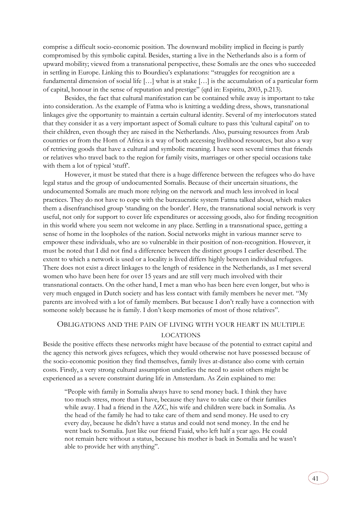comprise a difficult socio-economic position. The downward mobility implied in fleeing is partly compromised by this symbolic capital. Besides, starting a live in the Netherlands also is a form of upward mobility; viewed from a transnational perspective, these Somalis are the ones who succeeded in settling in Europe. Linking this to Bourdieu's explanations: "struggles for recognition are a fundamental dimension of social life […] what is at stake […] is the accumulation of a particular form of capital, honour in the sense of reputation and prestige" (qtd in: Espiritu, 2003, p.213).

Besides, the fact that cultural manifestation can be contained while away is important to take into consideration. As the example of Fatma who is knitting a wedding dress, shows, transnational linkages give the opportunity to maintain a certain cultural identity. Several of my interlocutors stated that they consider it as a very important aspect of Somali culture to pass this 'cultural capital' on to their children, even though they are raised in the Netherlands. Also, pursuing resources from Arab countries or from the Horn of Africa is a way of both accessing livelihood resources, but also a way of retrieving goods that have a cultural and symbolic meaning. I have seen several times that friends or relatives who travel back to the region for family visits, marriages or other special occasions take with them a lot of typical 'stuff'.

However, it must be stated that there is a huge difference between the refugees who do have legal status and the group of undocumented Somalis. Because of their uncertain situations, the undocumented Somalis are much more relying on the network and much less involved in local practices. They do not have to cope with the bureaucratic system Fatma talked about, which makes them a disenfranchised group 'standing on the border'. Here, the transnational social network is very useful, not only for support to cover life expenditures or accessing goods, also for finding recognition in this world where you seem not welcome in any place. Settling in a transnational space, getting a sense of home in the loopholes of the nation. Social networks might in various manner serve to empower these individuals, who are so vulnerable in their position of non-recognition. However, it must be noted that I did not find a difference between the distinct groups I earlier described. The extent to which a network is used or a locality is lived differs highly between individual refugees. There does not exist a direct linkages to the length of residence in the Netherlands, as I met several women who have been here for over 15 years and are still very much involved with their transnational contacts. On the other hand, I met a man who has been here even longer, but who is very much engaged in Dutch society and has less contact with family members he never met. "My parents are involved with a lot of family members. But because I don't really have a connection with someone solely because he is family. I don't keep memories of most of those relatives".

## <span id="page-40-0"></span>OBLIGATIONS AND THE PAIN OF LIVING WITH YOUR HEART IN MULTIPLE LOCATIONS

Beside the positive effects these networks might have because of the potential to extract capital and the agency this network gives refugees, which they would otherwise not have possessed because of the socio-economic position they find themselves, family lives at-distance also come with certain costs. Firstly, a very strong cultural assumption underlies the need to assist others might be experienced as a severe constraint during life in Amsterdam. As Zein explained to me:

"People with family in Somalia always have to send money back. I think they have too much stress, more than I have, because they have to take care of their families while away. I had a friend in the AZC, his wife and children were back in Somalia. As the head of the family he had to take care of them and send money. He used to cry every day, because he didn't have a status and could not send money. In the end he went back to Somalia. Just like our friend Faaid, who left half a year ago. He could not remain here without a status, because his mother is back in Somalia and he wasn't able to provide her with anything".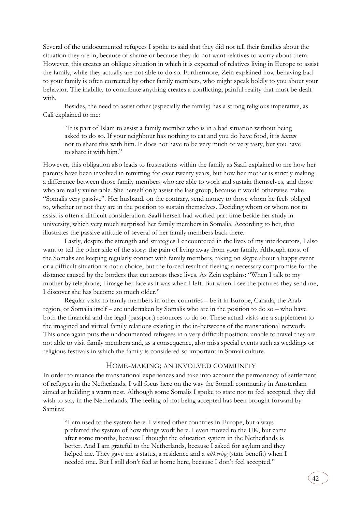Several of the undocumented refugees I spoke to said that they did not tell their families about the situation they are in, because of shame or because they do not want relatives to worry about them. However, this creates an oblique situation in which it is expected of relatives living in Europe to assist the family, while they actually are not able to do so. Furthermore, Zein explained how behaving bad to your family is often corrected by other family members, who might speak boldly to you about your behavior. The inability to contribute anything creates a conflicting, painful reality that must be dealt with.

Besides, the need to assist other (especially the family) has a strong religious imperative, as Cali explained to me:

"It is part of Islam to assist a family member who is in a bad situation without being asked to do so. If your neighbour has nothing to eat and you do have food, it is *haram*  not to share this with him. It does not have to be very much or very tasty, but you have to share it with him."

However, this obligation also leads to frustrations within the family as Saafi explained to me how her parents have been involved in remitting for over twenty years, but how her mother is strictly making a difference between those family members who are able to work and sustain themselves, and those who are really vulnerable. She herself only assist the last group, because it would otherwise make "Somalis very passive". Her husband, on the contrary, send money to those whom he feels obliged to, whether or not they are in the position to sustain themselves. Deciding whom or whom not to assist is often a difficult consideration. Saafi herself had worked part time beside her study in university, which very much surprised her family members in Somalia. According to her, that illustrates the passive attitude of several of her family members back there.

Lastly, despite the strength and strategies I encountered in the lives of my interlocutors, I also want to tell the other side of the story: the pain of living away from your family. Although most of the Somalis are keeping regularly contact with family members, taking on skype about a happy event or a difficult situation is not a choice, but the forced result of fleeing; a necessary compromise for the distance caused by the borders that cut across these lives. As Zein explains: "When I talk to my mother by telephone, I image her face as it was when I left. But when I see the pictures they send me, I discover she has become so much older."

Regular visits to family members in other countries – be it in Europe, Canada, the Arab region, or Somalia itself – are undertaken by Somalis who are in the position to do so – who have both the financial and the legal (passport) resources to do so. These actual visits are a supplement to the imagined and virtual family relations existing in the in-betweens of the transnational network. This once again puts the undocumented refugees in a very difficult position; unable to travel they are not able to visit family members and, as a consequence, also miss special events such as weddings or religious festivals in which the family is considered so important in Somali culture.

## HOME-MAKING; AN INVOLVED COMMUNITY

<span id="page-41-0"></span>In order to nuance the transnational experiences and take into account the permanency of settlement of refugees in the Netherlands, I will focus here on the way the Somali community in Amsterdam aimed at building a warm nest. Although some Somalis I spoke to state not to feel accepted, they did wish to stay in the Netherlands. The feeling of not being accepted has been brought forward by Samiira:

"I am used to the system here. I visited other countries in Europe, but always preferred the system of how things work here. I even moved to the UK, but came after some months, because I thought the education system in the Netherlands is better. And I am grateful to the Netherlands, because I asked for asylum and they helped me. They gave me a status, a residence and a *uitkering* (state benefit) when I needed one. But I still don't feel at home here, because I don't feel accepted."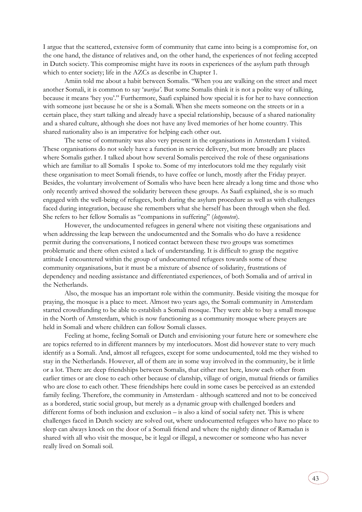I argue that the scattered, extensive form of community that came into being is a compromise for, on the one hand, the distance of relatives and, on the other hand, the experiences of not feeling accepted in Dutch society. This compromise might have its roots in experiences of the asylum path through which to enter society; life in the AZCs as describe in Chapter 1.

Amiin told me about a habit between Somalis. "When you are walking on the street and meet another Somali, it is common to say '*wariya'*. But some Somalis think it is not a polite way of talking, because it means 'hey you'." Furthermore, Saafi explained how special it is for her to have connection with someone just because he or she is a Somali. When she meets someone on the streets or in a certain place, they start talking and already have a special relationship, because of a shared nationality and a shared culture, although she does not have any lived memories of her home country. This shared nationality also is an imperative for helping each other out.

The sense of community was also very present in the organisations in Amsterdam I visited. These organisations do not solely have a function in service delivery, but more broadly are places where Somalis gather. I talked about how several Somalis perceived the role of these organisations which are familiar to all Somalis I spoke to. Some of my interlocutors told me they regularly visit these organisation to meet Somali friends, to have coffee or lunch, mostly after the Friday prayer. Besides, the voluntary involvement of Somalis who have been here already a long time and those who only recently arrived showed the solidarity between these groups. As Saafi explained, she is so much engaged with the well-being of refugees, both during the asylum procedure as well as with challenges faced during integration, because she remembers what she herself has been through when she fled. She refers to her fellow Somalis as "companions in suffering" (*lotgenoten*).

However, the undocumented refugees in general where not visiting these organisations and when addressing the leap between the undocumented and the Somalis who do have a residence permit during the conversations, I noticed contact between these two groups was sometimes problematic and there often existed a lack of understanding. It is difficult to grasp the negative attitude I encountered within the group of undocumented refugees towards some of these community organisations, but it must be a mixture of absence of solidarity, frustrations of dependency and needing assistance and differentiated experiences, of both Somalia and of arrival in the Netherlands.

Also, the mosque has an important role within the community. Beside visiting the mosque for praying, the mosque is a place to meet. Almost two years ago, the Somali community in Amsterdam started crowdfunding to be able to establish a Somali mosque. They were able to buy a small mosque in the North of Amsterdam, which is now functioning as a community mosque where prayers are held in Somali and where children can follow Somali classes.

Feeling at home, feeling Somali or Dutch and envisioning your future here or somewhere else are topics referred to in different manners by my interlocutors. Most did however state to very much identify as a Somali. And, almost all refugees, except for some undocumented, told me they wished to stay in the Netherlands. However, all of them are in some way involved in the community, be it little or a lot. There are deep friendships between Somalis, that either met here, know each other from earlier times or are close to each other because of clanship, village of origin, mutual friends or families who are close to each other. These friendships here could in some cases be perceived as an extended family feeling. Therefore, the community in Amsterdam - although scattered and not to be conceived as a bordered, static social group, but merely as a dynamic group with challenged borders and different forms of both inclusion and exclusion – is also a kind of social safety net. This is where challenges faced in Dutch society are solved out, where undocumented refugees who have no place to sleep can always knock on the door of a Somali friend and where the nightly dinner of Ramadan is shared with all who visit the mosque, be it legal or illegal, a newcomer or someone who has never really lived on Somali soil.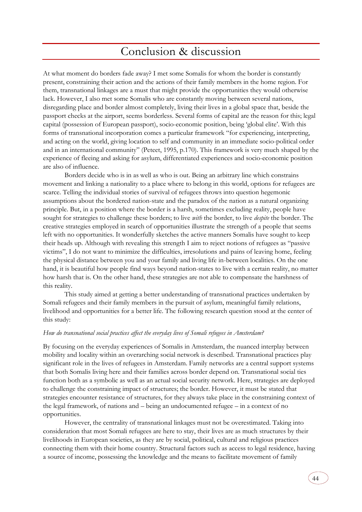## Conclusion & discussion

<span id="page-43-0"></span>At what moment do borders fade away? I met some Somalis for whom the border is constantly present, constraining their action and the actions of their family members in the home region. For them, transnational linkages are a must that might provide the opportunities they would otherwise lack. However, I also met some Somalis who are constantly moving between several nations, disregarding place and border almost completely, living their lives in a global space that, beside the passport checks at the airport, seems borderless. Several forms of capital are the reason for this; legal capital (possession of European passport), socio-economic position, being 'global elite'. With this forms of transnational incorporation comes a particular framework "for experiencing, interpreting, and acting on the world, giving location to self and community in an immediate socio-political order and in an international community" (Peteet, 1995, p.170). This framework is very much shaped by the experience of fleeing and asking for asylum, differentiated experiences and socio-economic position are also of influence.

Borders decide who is in as well as who is out. Being an arbitrary line which constrains movement and linking a nationality to a place where to belong in this world, options for refugees are scarce. Telling the individual stories of survival of refugees throws into question hegemonic assumptions about the bordered nation-state and the paradox of the nation as a natural organizing principle. But, in a position where the border is a harsh, sometimes excluding reality, people have sought for strategies to challenge these borders; to live *with* the border, to live *despite* the border. The creative strategies employed in search of opportunities illustrate the strength of a people that seems left with no opportunities. It wonderfully sketches the active manners Somalis have sought to keep their heads up. Although with revealing this strength I aim to reject notions of refugees as "passive victims", I do not want to minimize the difficulties, irresolutions and pains of leaving home, feeling the physical distance between you and your family and living life in-between localities. On the one hand, it is beautiful how people find ways beyond nation-states to live with a certain reality, no matter how harsh that is. On the other hand, these strategies are not able to compensate the harshness of this reality.

 This study aimed at getting a better understanding of transnational practices undertaken by Somali refugees and their family members in the pursuit of asylum, meaningful family relations, livelihood and opportunities for a better life. The following research question stood at the center of this study:

## *How do transnational social practices affect the everyday lives of Somali refugees in Amsterdam?*

By focusing on the everyday experiences of Somalis in Amsterdam, the nuanced interplay between mobility and locality within an overarching social network is described. Transnational practices play significant role in the lives of refugees in Amsterdam. Family networks are a central support systems that both Somalis living here and their families across border depend on. Transnational social ties function both as a symbolic as well as an actual social security network. Here, strategies are deployed to challenge the constraining impact of structures; the border. However, it must be stated that strategies encounter resistance of structures, for they always take place in the constraining context of the legal framework, of nations and – being an undocumented refugee – in a context of no opportunities.

However, the centrality of transnational linkages must not be overestimated. Taking into consideration that most Somali refugees are here to stay, their lives are as much structures by their livelihoods in European societies, as they are by social, political, cultural and religious practices connecting them with their home country. Structural factors such as access to legal residence, having a source of income, possessing the knowledge and the means to facilitate movement of family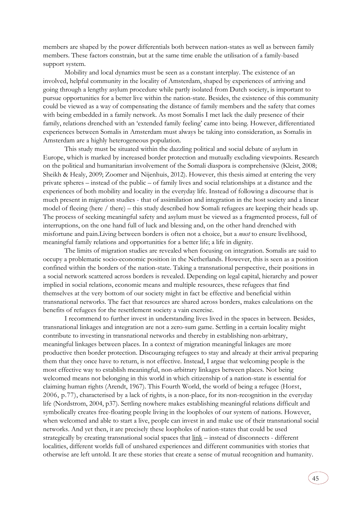members are shaped by the power differentials both between nation-states as well as between family members. These factors constrain, but at the same time enable the utilisation of a family-based support system.

Mobility and local dynamics must be seen as a constant interplay. The existence of an involved, helpful community in the locality of Amsterdam, shaped by experiences of arriving and going through a lengthy asylum procedure while partly isolated from Dutch society, is important to pursue opportunities for a better live within the nation-state. Besides, the existence of this community could be viewed as a way of compensating the distance of family members and the safety that comes with being embedded in a family network. As most Somalis I met lack the daily presence of their family, relations drenched with an 'extended family feeling' came into being. However, differentiated experiences between Somalis in Amsterdam must always be taking into consideration, as Somalis in Amsterdam are a highly heterogeneous population.

This study must be situated within the dazzling political and social debate of asylum in Europe, which is marked by increased border protection and mutually excluding viewpoints. Research on the political and humanitarian involvement of the Somali diaspora is comprehensive (Kleist, 2008; Sheikh & Healy, 2009; Zoomer and Nijenhuis, 2012). However, this thesis aimed at entering the very private spheres – instead of the public – of family lives and social relationships at a distance and the experiences of both mobility and locality in the everyday life. Instead of following a discourse that is much present in migration studies - that of assimilation and integration in the host society and a linear model of fleeing (here / there) – this study described how Somali refugees are keeping their heads up. The process of seeking meaningful safety and asylum must be viewed as a fragmented process, full of interruptions, on the one hand full of luck and blessing and, on the other hand drenched with misfortune and pain.Living between borders is often not a choice, but a *must* to ensure livelihood, meaningful family relations and opportunities for a better life; a life in dignity.

The limits of migration studies are revealed when focusing on integration. Somalis are said to occupy a problematic socio-economic position in the Netherlands. However, this is seen as a position confined within the borders of the nation-state. Taking a transnational perspective, their positions in a social network scattered across borders is revealed. Depending on legal capital, hierarchy and power implied in social relations, economic means and multiple resources, these refugees that find themselves at the very bottom of our society might in fact be effective and beneficial within transnational networks. The fact that resources are shared across borders, makes calculations on the benefits of refugees for the resettlement society a vain exercise.

I recommend to further invest in understanding lives lived in the spaces in between. Besides, transnational linkages and integration are not a zero-sum game. Settling in a certain locality might contribute to investing in transnational networks and thereby in establishing non-arbitrary, meaningful linkages between places. In a context of migration meaningful linkages are more productive then border protection. Discouraging refugees to stay and already at their arrival preparing them that they once have to return, is not effective. Instead, I argue that welcoming people is the most effective way to establish meaningful, non-arbitrary linkages between places. Not being welcomed means not belonging in this world in which citizenship of a nation-state is essential for claiming human rights (Arendt, 1967). This Fourth World, the world of being a refugee (Horst, 2006, p.77), characterised by a lack of rights, is a non-place, for its non-recognition in the everyday life (Nordstrom, 2004, p37). Settling nowhere makes establishing meaningful relations difficult and symbolically creates free-floating people living in the loopholes of our system of nations. However, when welcomed and able to start a live, people can invest in and make use of their transnational social networks. And yet then, it are precisely these loopholes of nation-states that could be used strategically by creating transnational social spaces that link – instead of disconnects - different localities, different worlds full of unshared experiences and different communities with stories that otherwise are left untold. It are these stories that create a sense of mutual recognition and humanity.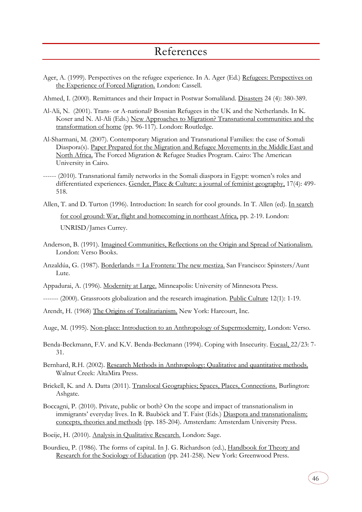- <span id="page-45-0"></span>Ager, A. (1999). Perspectives on the refugee experience. In A. Ager (Ed.) Refugees: Perspectives on the Experience of Forced Migration. London: Cassell.
- Ahmed, I. (2000). Remittances and their Impact in Postwar Somaliland. Disasters 24 (4): 380-389.
- Al-Ali, N. (2001). Trans- or A-national? Bosnian Refugees in the UK and the Netherlands. In K. Koser and N. Al-Ali (Eds.) New Approaches to Migration? Transnational communities and the transformation of home (pp. 96-117). London: Routledge.
- Al-Sharmani, M. (2007). Contemporary Migration and Transnational Families: the case of Somali Diaspora(s). Paper Prepared for the Migration and Refugee Movements in the Middle East and North Africa. The Forced Migration & Refugee Studies Program. Cairo: The American University in Cairo.
- ------ (2010). Transnational family networks in the Somali diaspora in Egypt: women's roles and differentiated experiences. Gender, Place & Culture: a journal of feminist geography, 17(4): 499- 518.
- Allen, T. and D. Turton (1996). Introduction: In search for cool grounds. In T. Allen (ed). In search for cool ground: War, flight and homecoming in northeast Africa, pp. 2-19. London: UNRISD/James Currey.
- Anderson, B. (1991). Imagined Communities, Reflections on the Origin and Spread of Nationalism. London: Verso Books.
- Anzaldúa, G. (1987). Borderlands = La Frontera: The new mestiza. San Francisco: Spinsters/Aunt Lute.
- Appadurai, A. (1996). Modernity at Large. Minneapolis: University of Minnesota Press.
- ------- (2000). Grassroots globalization and the research imagination. Public Culture 12(1): 1-19.
- Arendt, H. (1968) The Origins of Totalitarianism. New York: Harcourt, Inc.
- Auge, M. (1995). Non-place: Introduction to an Anthropology of Supermodernity. London: Verso.
- Benda-Beckmann, F.V. and K.V. Benda-Beckmann (1994). Coping with Insecurity. Focaal, 22/23: 7- 31.
- Bernhard, R.H. (2002). Research Methods in Anthropology: Qualitative and quantitative methods. Walnut Creek: AltaMira Press.
- Brickell, K. and A. Datta (2011). Translocal Geographies; Spaces, Places, Connections. Burlington: Ashgate.
- Boccagni, P. (2010). Private, public or both? On the scope and impact of transnationalism in immigrants' everyday lives. In R. Bauböck and T. Faist (Eds.) Diaspora and transnationalism; concepts, theories and methods (pp. 185-204). Amsterdam: Amsterdam University Press.
- Boeije, H. (2010). Analysis in Qualitative Research. London: Sage.
- Bourdieu, P. (1986). The forms of capital. In J. G. Richardson (ed.), Handbook for Theory and Research for the Sociology of Education (pp. 241-258). New York: Greenwood Press.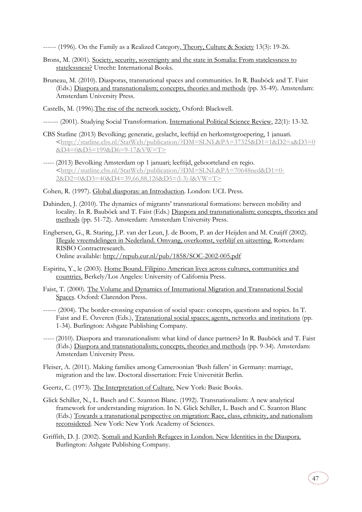------ (1996). On the Family as a Realized Category. Theory, Culture & Society 13(3): 19-26.

- Brons, M. (2001). Society, security, sovereignty and the state in Somalia: From statelessness to statelessness? Utrecht: International Books.
- Bruneau, M. (2010). Diasporas, transnational spaces and communities. In R. Bauböck and T. Faist (Eds.) Diaspora and transnationalism; concepts, theories and methods (pp. 35-49). Amsterdam: Amsterdam University Press.
- Castells, M. (1996).The rise of the network society. Oxford: Blackwell.
- ------- (2001). Studying Social Transformation. International Political Science Review, 22(1): 13-32.
- CBS Statline (2013) Bevolking; generatie, geslacht, leeftijd en herkomstgroepering, 1 januari. [<http://statline.cbs.nl/StatWeb/publication/?DM=SLNL&PA=37325&D1=1&D2=a&D3=0](http://statline.cbs.nl/StatWeb/publication/?DM=SLNL&PA=37325&D1=1&D2=a&D3=0&D4=0&D5=199&D6=9-17&VW=T) [&D4=0&D5=199&D6=9-17&VW=T>](http://statline.cbs.nl/StatWeb/publication/?DM=SLNL&PA=37325&D1=1&D2=a&D3=0&D4=0&D5=199&D6=9-17&VW=T)
- ----- (2013) Bevolking Amsterdam op 1 januari; leeftijd, geboorteland en regio. [<http://statline.cbs.nl/StatWeb/publication/?DM=SLNL&PA=70648ned&D1=0-](http://statline.cbs.nl/StatWeb/publication/?DM=SLNL&PA=70648ned&D1=0-2&D2=0&D3=40&D4=39,66,88,126&D5=(l-3)-l&VW=T) [2&D2=0&D3=40&D4=39,66,88,126&D5=\(l-3\)-l&VW=T>](http://statline.cbs.nl/StatWeb/publication/?DM=SLNL&PA=70648ned&D1=0-2&D2=0&D3=40&D4=39,66,88,126&D5=(l-3)-l&VW=T)
- Cohen, R. (1997). Global diasporas: an Introduction. London: UCL Press.
- Dahinden, J. (2010). The dynamics of migrants' transnational formations: between mobility and locality. In R. Bauböck and T. Faist (Eds.) Diaspora and transnationalism; concepts, theories and methods (pp. 51-72). Amsterdam: Amsterdam University Press.
- Engbersen, G., R. Staring, J.P. van der Leun, J. de Boom, P. an der Heijden and M. Cruijff (2002). Illegale vreemdelingen in Nederland. Omvang, overkomst, verblijf en uitzetting. Rotterdam: RISBO Contractresearch. Online available:<http://repub.eur.nl/pub/1858/SOC-2002-005.pdf>
- Espiritu, Y., le (2003). Home Bound. Filipino American lives across cultures, communities and countries. Berkely/Los Angeles: University of California Press.
- Faist, T. (2000). The Volume and Dynamics of International Migration and Transnational Social Spaces*.* Oxford: Clarendon Press.
- ------ (2004). The border-crossing expansion of social space: concepts, questions and topics. In T. Faist and E. Özveren (Eds.), Transnational social spaces; agents, networks and institutions (pp. 1-34). Burlington: Ashgate Publishing Company.
- ----- (2010). Diaspora and transnationalism: what kind of dance partners? In R. Bauböck and T. Faist (Eds.) Diaspora and transnationalism; concepts, theories and methods (pp. 9-34). Amsterdam: Amsterdam University Press.
- Fleiser, A. (2011). Making families among Cameroonian 'Bush fallers' in Germany: marriage, migration and the law. Doctoral dissertation: Freie Universität Berlin.

Geertz, C. (1973). The Interpretation of Culture. New York: Basic Books.

- Glick Schiller, N., L. Basch and C. Szanton Blanc. (1992). Transnationalism: A new analytical framework for understanding migration. In N. Glick Schiller, L. Basch and C. Szanton Blanc (Eds.) Towards a transnational perspective on migration: Race, class, ethnicity, and nationalism reconsidered. New York: New York Academy of Sciences.
- Griffith, D. J. (2002). Somali and Kurdish Refugees in London. New Identities in the Diaspora. Burlington: Ashgate Publishing Company.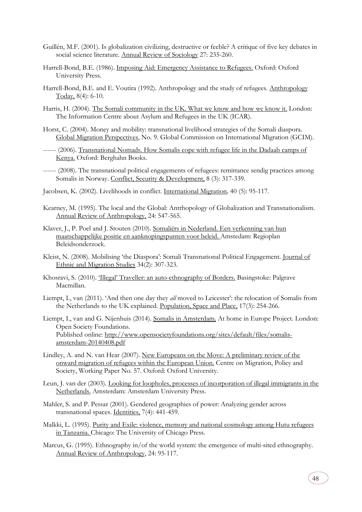- Guillén, M.F. (2001). Is globalization civilizing, destructive or feeble? A critique of five key debates in social science literature. Annual Review of Sociology 27: 235-260.
- Harrell-Bond, B.E. (1986). Imposing Aid: Emergency Assistance to Refugees. Oxford: Oxford University Press.
- Harrell-Bond, B.E. and E. Voutira (1992). Anthropology and the study of refugees. Anthropology Today, 8(4): 6-10.
- Harris, H. (2004). The Somali community in the UK. What we know and how we know it. London: The Information Centre about Asylum and Refugees in the UK (ICAR).
- Horst, C. (2004). Money and mobility: transnational livelihood strategies of the Somali diaspora. Global Migration Perspectives, No. 9. Global Commission on International Migration (GCIM).
- ------ (2006). Transnational Nomads. How Somalis cope with refugee life in the Dadaab camps of Kenya. Oxford: Berghahn Books.
- ------ (2008). The transnational political engagements of refugees: remittance sendig practices among Somalis in Norway. Conflict, Security & Development, 8 (3): 317-339.
- Jacobsen, K. (2002). Livelihoods in conflict. International Migration*,* 40 (5): 95-117.
- Kearney, M. (1995). The local and the Global: Antrhopology of Globalization and Transnationalism. Annual Review of Anthropology, 24: 547-565.
- Klaver, J., P. Poel and J. Stouten (2010). Somaliërs in Nederland. Een verkenning van hun maatschappelijke positie en aanknopingspunten voor beleid. Amstedam: Regioplan Beleidsonderzoek.
- Kleist, N. (2008). Mobilising 'the Diaspora': Somali Transnational Political Engagement. Journal of Ethnic and Migration Studies 34(2): 307-323.
- Khosravi, S. (2010). 'Illegal' Traveller: an auto-ethnography of Borders. Basingstoke: Palgrave Macmillan.
- Liempt, I., van (2011). 'And then one day they *all* moved to Leicester': the relocation of Somalis from the Netherlands to the UK explained. Population, Space and Place, 17(3): 254-266.
- Liempt, I., van and G. Nijenhuis (2014). Somalis in Amsterdam. At home in Europe Project. London: Open Society Foundations. Published online: [http://www.opensocietyfoundations.org/sites/default/files/somalis](http://www.opensocietyfoundations.org/sites/default/files/somalis-amsterdam-20140408.pdf)[amsterdam-20140408.pdf](http://www.opensocietyfoundations.org/sites/default/files/somalis-amsterdam-20140408.pdf)
- Lindley, A. and N. van Hear (2007). New Europeans on the Move: A preliminary review of the onward migration of refugees within the European Union. Centre on Migration, Policy and Society, Working Paper No. 57. Oxford: Oxford University.
- Leun, J. van der (2003). Looking for loopholes, processes of incorporation of illegal immigrants in the Netherlands. Amsterdam: Amsterdam University Press.
- Mahler, S. and P. Pessar (2001). Gendered geographies of power: Analyzing gender across transnational spaces. Identities, 7(4): 441-459.
- Malkki, L. (1995). Purity and Exile: violence, memory and national cosmology among Hutu refugees in Tanzania. Chicago: The University of Chicago Press.
- Marcus, G. (1995). Ethnography in/of the world system: the emergence of multi-sited ethnography. Annual Review of Anthropology, 24: 95-117.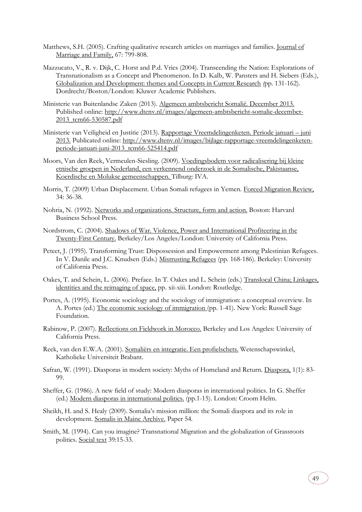- Matthews, S.H. (2005). Crafting qualitative research articles on marriages and families. Journal of Marriage and Family, 67: 799-808.
- Mazzucato, V., R. v. Dijk, C. Horst and P.d. Vries (2004). Transcending the Nation: Explorations of Transnationalism as a Concept and Phenomenon. In D. Kalb, W. Pansters and H. Siebers (Eds.), Globalization and Development: themes and Concepts in Current Research *(*pp. 131-162). Dordrecht/Boston/London: Kluwer Academic Publishers.
- Ministerie van Buitenlandse Zaken (2013). Algemeen ambtsbericht Somalië. December 2013. Published online: [http://www.dtenv.nl/images/algemeen-ambtsbericht-somalie-december-](http://www.dtenv.nl/images/algemeen-ambtsbericht-somalie-december-2013_tcm66-530587.pdf)[2013\\_tcm66-530587.pdf](http://www.dtenv.nl/images/algemeen-ambtsbericht-somalie-december-2013_tcm66-530587.pdf)
- Ministerie van Veiligheid en Justitie (2013). Rapportage Vreemdelingenketen. Periode januari juni 2013. Publicated online: [http://www.dtenv.nl/images/bijlage-rapportage-vreemdelingenketen](http://www.dtenv.nl/images/bijlage-rapportage-vreemdelingenketen-periode-januari-juni-2013_tcm66-525414.pdf)[periode-januari-juni-2013\\_tcm66-525414.pdf](http://www.dtenv.nl/images/bijlage-rapportage-vreemdelingenketen-periode-januari-juni-2013_tcm66-525414.pdf)
- Moors, Van den Reek, Vermeulen-Siesling. (2009). Voedingsbodem voor radicalisering bij kleine etnische groepen in Nederland, een verkennend onderzoek in de Somalische, Pakistaanse, Koerdische en Molukse gemeenschappen. Tilburg: IVA.
- Morris, T. (2009) Urban Displacement. Urban Somali refugees in Yemen. Forced Migration Review, 34: 36-38.
- Nohria, N. (1992). Networks and organizations. Structure, form and action. Boston: Harvard Business School Press.
- Nordstrom, C. (2004). Shadows of War. Violence, Power and International Profiteering in the Twenty-First Century. Berkeley/Los Angeles/London: University of California Press.
- Peteet, J. (1995). Transforming Trust: Dispossession and Empowerment among Palestinian Refugees. In V. Danile and J.C. Knudsen (Eds.) Mistrusting Refugees (pp. 168-186). Berkeley: University of California Press.
- Oakes, T. and Schein, L. (2006). Preface. In T. Oakes and L. Schein (eds.) Translocal China; Linkages, identities and the reimaging of space, pp. xii-xiii. London: Routledge.
- Portes, A. (1995). Economic sociology and the sociology of immigration: a conceptual overview. In A. Portes (ed.) The economic sociology of immigration (pp. 1-41). New York: Russell Sage Foundation.
- Rabinow, P. (2007). Reflections on Fieldwork in Morocco. Berkeley and Los Angeles: University of California Press.
- Reek, van den E.W.A. (2001). Somaliërs en integratie. Een profielschets. Wetenschapswinkel, Katholieke Universiteit Brabant.
- Safran, W. (1991). Diasporas in modern society: Myths of Homeland and Return. Diaspora, 1(1): 83- 99.
- Sheffer, G. (1986). A new field of study: Modern diasporas in international politics. In G. Sheffer (ed.) Modern diasporas in international politics. (pp.1-15). London: Croom Helm.
- Sheikh, H. and S. Healy (2009). Somalia's mission million: the Somali diaspora and its role in development. Somalis in Maine Archive. Paper 54.
- Smith, M. (1994). Can you imagine? Transnational Migration and the globalization of Grassroots politics. Social text 39:15-33.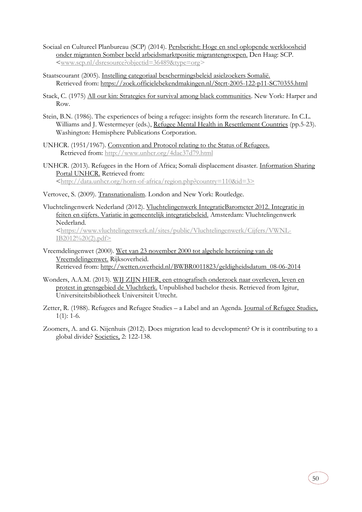- Sociaal en Cultureel Planbureau (SCP) (2014). Persbericht: Hoge en snel oplopende werkloosheid onder migranten Somber beeld arbeidsmarktpositie migrantengroepen. Den Haag: SCP. [<www.scp.nl/dsresource?objectid=36489&type=org](http://www.scp.nl/dsresource?objectid=36489&type=org)*>*
- Staatscourant (2005). Instelling categoriaal beschermingsbeleid asielzoekers Somalië. Retrieved from:<https://zoek.officielebekendmakingen.nl/Stcrt-2005-122-p11-SC70355.html>
- Stack, C. (1975) All our kin: Strategies for survival among black communities. New York: Harper and Row.
- Stein, B.N. (1986). The experiences of being a refugee: insights form the research literature. In C.L. Williams and J. Westermeyer (eds.), Refugee Mental Health in Resettlement Countries (pp.5-23). Washington: Hemisphere Publications Corporation.
- UNHCR. (1951/1967). Convention and Protocol relating to the Status of Refugees. Retrieved from:<http://www.unhcr.org/4dac37d79.html>
- UNHCR. (2013). Refugees in the Horn of Africa; Somali displacement disaster. Information Sharing Portal UNHCR. Retrieved from: [<http://data.unhcr.org/horn-of-africa/region.php?country=110&id=3>](http://data.unhcr.org/horn-of-africa/region.php?country=110&id=3)
- Vertovec, S. (2009). Transnationalism. London and New York: Routledge.

Vluchtelingenwerk Nederland (2012). Vluchtelingenwerk IntegratieBarometer 2012. Integratie in feiten en cijfers. Variatie in gemeentelijk integratiebeleid. Amsterdam: Vluchtelingenwerk Nederland. [<https://www.vluchtelingenwerk.nl/sites/public/Vluchtelingenwerk/Cijfers/VWNL-](https://www.vluchtelingenwerk.nl/sites/public/Vluchtelingenwerk/Cijfers/VWNL-IB2012%20(2).pdf)[IB2012%20\(2\).pdf>](https://www.vluchtelingenwerk.nl/sites/public/Vluchtelingenwerk/Cijfers/VWNL-IB2012%20(2).pdf)

- Vreemdelingenwet (2000). Wet van 23 november 2000 tot algehele herziening van de Vreemdelingenwet. Rijksoverheid. Retrieved from: [http://wetten.overheid.nl/BWBR0011823/geldigheidsdatum\\_08-06-2014](http://wetten.overheid.nl/BWBR0011823/geldigheidsdatum_08-06-2014)
- Wonders, A.A.M. (2013). WIJ ZIJN HIER, een etnografisch onderzoek naar overleven, leven en protest in grensgebied de Vluchtkerk. Unpublished bachelor thesis. Retrieved from Igitur, Universiteitsbibliotheek Universiteit Utrecht.
- Zetter, R. (1988). Refugees and Refugee Studies a Label and an Agenda. Journal of Refugee Studies,  $1(1): 1-6.$
- Zoomers, A. and G. Nijenhuis (2012). Does migration lead to development? Or is it contributing to a global divide? Societies, 2: 122-138.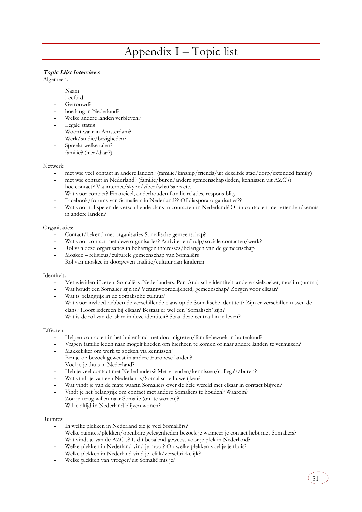## Appendix I – Topic list

## **Topic Lijst Interviews**

Algemeen:

- Naam
- Leeftiid
- Getrouwd?
- hoe lang in Nederland?
- Welke andere landen verbleven?
- Legale status
- Woont waar in Amsterdam?
- Werk/studie/bezigheden?
- Spreekt welke talen?
- familie? (hier/daar?)

#### Netwerk:

- met wie veel contact in andere landen? (familie/kinship/friends/uit dezelfde stad/dorp/extended family)
- met wie contact in Nederland? (familie/buren/andere gemeenschapsleden, kennissen uit AZC's)
- hoe contact? Via internet/skype/viber/what'sapp etc.
- Wat voor contact? Financieel, onderhouden familie relaties, responsiblity
- Facebook/forums van Somaliërs in Nederland?? Of diaspora organisaties??
- Wat voor rol spelen de verschillende clans in contacten in Nederland? Of in contacten met vrienden/kennis in andere landen?

#### Organisaties:

- Contact/bekend met organisaties Somalische gemeenschap?
- Wat voor contact met deze organisaties? Activiteiten/hulp/sociale contacten/werk?
- Rol van deze organisaties in behartigen interesses/belangen van de gemeenschap
- Moskee religieus/culturele gemeenschap van Somaliërs
- Rol van moskee in doorgeven traditie/cultuur aan kinderen

#### Identiteit:

- Met wie identificeren: Somaliërs ,Nederlanders, Pan-Arabische identiteit, andere asielzoeker, moslim (umma)
- Wat houdt een Somaliër zijn in? Verantwoordelijkheid, gemeenschap? Zorgen voor elkaar?
- Wat is belangrijk in de Somalische cultuur?
- Wat voor invloed hebben de verschillende clans op de Somalische identiteit? Zijn er verschillen tussen de clans? Hoort iedereen bij elkaar? Bestaat er wel een 'Somalisch' zijn?
- Wat is de rol van de islam in deze identiteit? Staat deze centraal in je leven?

#### Effecten:

- Helpen contacten in het buitenland met doormigreren/familiebezoek in buitenland?
- Vragen familie leden naar mogelijkheden om hierheen te komen of naar andere landen te verhuizen?
- Makkelijker om werk te zoeken via kennissen?
- Ben je op bezoek geweest in andere Europese landen?
- Voel je je thuis in Nederland?
- Heb je veel contact met Nederlanders? Met vrienden/kennissen/collega's/buren?
- Wat vindt je van een Nederlands/Somalische huwelijken?
- Wat vindt je van de mate waarin Somaliërs over de hele wereld met elkaar in contact blijven?
- Vindt je het belangrijk om contact met andere Somaliërs te houden? Waarom?
- Zou je terug willen naar Somalië (om te wonen)?
- Wil je altijd in Nederland blijven wonen?

#### Ruimtes:

- In welke plekken in Nederland zie je veel Somaliërs?
- Welke ruimtes/plekken/openbare gelegenheden bezoek je wanneer je contact hebt met Somaliërs?

51

- Wat vindt je van de AZC's? Is dit bepalend geweest voor je plek in Nederland?
- Welke plekken in Nederland vind je mooi? Op welke plekken voel je je thuis?
- Welke plekken in Nederland vind je lelijk/verschrikkelijk?
- Welke plekken van vroeger/uit Somalië mis je?